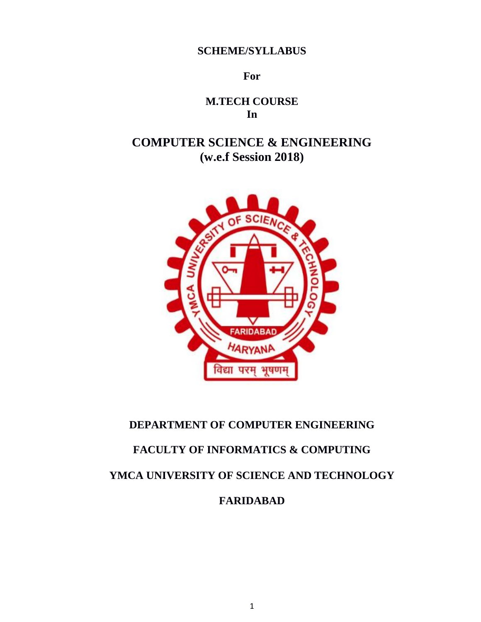**SCHEME/SYLLABUS**

**For**

**M.TECH COURSE In**

**COMPUTER SCIENCE & ENGINEERING (w.e.f Session 2018)**



# **DEPARTMENT OF COMPUTER ENGINEERING**

# **FACULTY OF INFORMATICS & COMPUTING**

**YMCA UNIVERSITY OF SCIENCE AND TECHNOLOGY**

**FARIDABAD**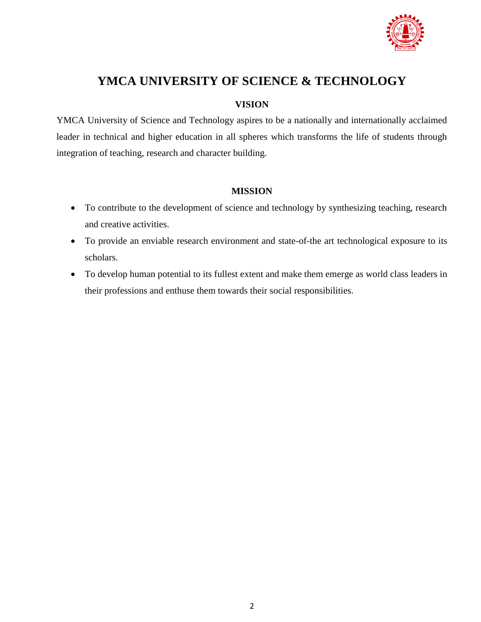

# **YMCA UNIVERSITY OF SCIENCE & TECHNOLOGY**

# **VISION**

YMCA University of Science and Technology aspires to be a nationally and internationally acclaimed leader in technical and higher education in all spheres which transforms the life of students through integration of teaching, research and character building.

# **MISSION**

- To contribute to the development of science and technology by synthesizing teaching, research and creative activities.
- To provide an enviable research environment and state-of-the art technological exposure to its scholars.
- To develop human potential to its fullest extent and make them emerge as world class leaders in their professions and enthuse them towards their social responsibilities.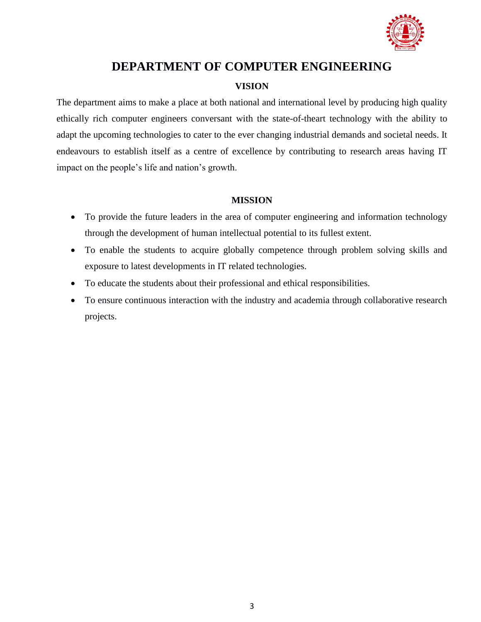

# **DEPARTMENT OF COMPUTER ENGINEERING**

# **VISION**

The department aims to make a place at both national and international level by producing high quality ethically rich computer engineers conversant with the state-of-theart technology with the ability to adapt the upcoming technologies to cater to the ever changing industrial demands and societal needs. It endeavours to establish itself as a centre of excellence by contributing to research areas having IT impact on the people's life and nation's growth.

# **MISSION**

- To provide the future leaders in the area of computer engineering and information technology through the development of human intellectual potential to its fullest extent.
- To enable the students to acquire globally competence through problem solving skills and exposure to latest developments in IT related technologies.
- To educate the students about their professional and ethical responsibilities.
- To ensure continuous interaction with the industry and academia through collaborative research projects.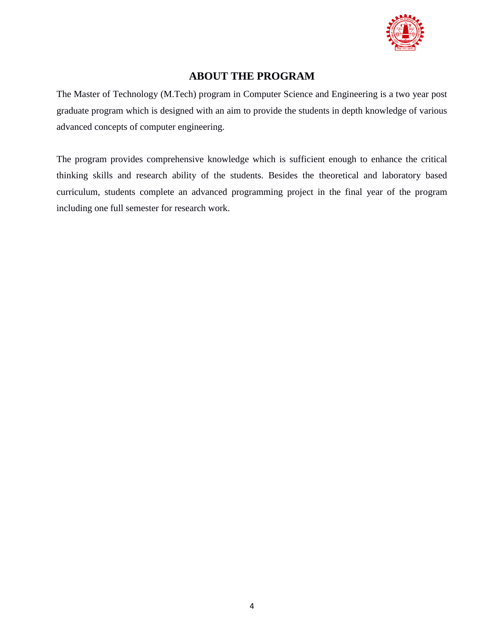

# **ABOUT THE PROGRAM**

The Master of Technology (M.Tech) program in Computer Science and Engineering is a two year post graduate program which is designed with an aim to provide the students in depth knowledge of various advanced concepts of computer engineering.

The program provides comprehensive knowledge which is sufficient enough to enhance the critical thinking skills and research ability of the students. Besides the theoretical and laboratory based curriculum, students complete an advanced programming project in the final year of the program including one full semester for research work.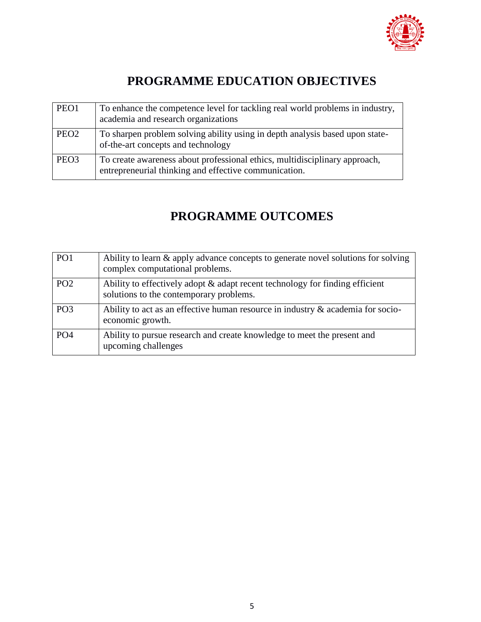

# **PROGRAMME EDUCATION OBJECTIVES**

| PEO1             | To enhance the competence level for tackling real world problems in industry,<br>academia and research organizations                |
|------------------|-------------------------------------------------------------------------------------------------------------------------------------|
| PEO <sub>2</sub> | To sharpen problem solving ability using in depth analysis based upon state-<br>of-the-art concepts and technology                  |
| PEO <sub>3</sub> | To create awareness about professional ethics, multidisciplinary approach,<br>entrepreneurial thinking and effective communication. |

# **PROGRAMME OUTCOMES**

| PO <sub>1</sub> | Ability to learn & apply advance concepts to generate novel solutions for solving<br>complex computational problems.    |
|-----------------|-------------------------------------------------------------------------------------------------------------------------|
| PO <sub>2</sub> | Ability to effectively adopt & adapt recent technology for finding efficient<br>solutions to the contemporary problems. |
| PO <sub>3</sub> | Ability to act as an effective human resource in industry $\&$ academia for socio-<br>economic growth.                  |
| PO <sub>4</sub> | Ability to pursue research and create knowledge to meet the present and<br>upcoming challenges                          |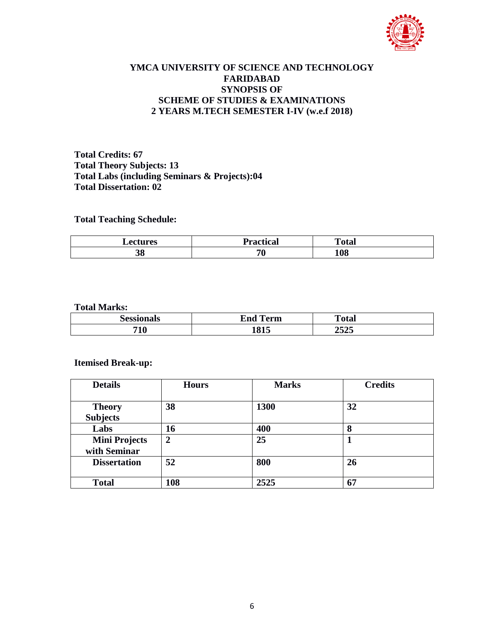

# **YMCA UNIVERSITY OF SCIENCE AND TECHNOLOGY FARIDABAD SYNOPSIS OF SCHEME OF STUDIES & EXAMINATIONS 2 YEARS M.TECH SEMESTER I-IV (w.e.f 2018)**

**Total Credits: 67 Total Theory Subjects: 13 Total Labs (including Seminars & Projects):04 Total Dissertation: 02**

# **Total Teaching Schedule:**

| <b>Lectures</b> | <b>Practical</b> | <b>Total</b> |
|-----------------|------------------|--------------|
| 38              | 70               | 108          |

#### **Total Marks:**

|            | -<br>erm<br>™n m<br>rua | m<br>______ |  |
|------------|-------------------------|-------------|--|
| 71 A<br>1V | 015                     | ---<br>⊿J⊿J |  |

# **Itemised Break-up:**

| <b>Details</b>       | <b>Hours</b> | <b>Marks</b> | <b>Credits</b> |
|----------------------|--------------|--------------|----------------|
|                      |              |              |                |
| <b>Theory</b>        | 38           | 1300         | 32             |
| <b>Subjects</b>      |              |              |                |
| Labs                 | 16           | 400          | 8              |
| <b>Mini Projects</b> | 2            | 25           |                |
| with Seminar         |              |              |                |
| <b>Dissertation</b>  | 52           | 800          | 26             |
|                      |              |              |                |
| <b>Total</b>         | 108          | 2525         | 67             |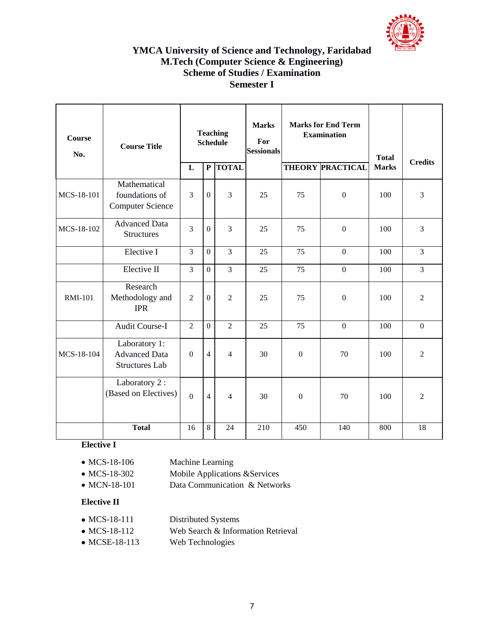

# **YMCA University of Science and Technology, Faridabad M.Tech (Computer Science & Engineering) Scheme of Studies / Examination Semester I**

| Course<br>No.  | <b>Course Title</b>                                            | <b>Teaching</b><br><b>Schedule</b> |                | <b>Marks</b><br>For<br><b>Sessionals</b> | <b>Marks for End Term</b><br><b>Examination</b> |              | <b>Total</b>            | <b>Credits</b> |                  |
|----------------|----------------------------------------------------------------|------------------------------------|----------------|------------------------------------------|-------------------------------------------------|--------------|-------------------------|----------------|------------------|
|                |                                                                | L                                  | ${\bf P}$      | <b>TOTAL</b>                             |                                                 |              | <b>THEORY PRACTICAL</b> | <b>Marks</b>   |                  |
| MCS-18-101     | Mathematical<br>foundations of<br><b>Computer Science</b>      | 3                                  | $\mathbf{0}$   | 3                                        | 25                                              | 75           | $\boldsymbol{0}$        | 100            | 3                |
| MCS-18-102     | <b>Advanced Data</b><br><b>Structures</b>                      | 3                                  | $\mathbf{0}$   | 3                                        | 25                                              | 75           | $\boldsymbol{0}$        | 100            | 3                |
|                | Elective I                                                     | $\overline{3}$                     | $\mathbf{0}$   | $\overline{3}$                           | 25                                              | 75           | $\mathbf{0}$            | 100            | $\overline{3}$   |
|                | Elective II                                                    | $\overline{3}$                     | $\Omega$       | $\overline{3}$                           | 25                                              | 75           | $\overline{0}$          | 100            | $\overline{3}$   |
| <b>RMI-101</b> | Research<br>Methodology and<br><b>IPR</b>                      | $\overline{2}$                     | $\mathbf{0}$   | $\overline{2}$                           | 25                                              | 75           | $\boldsymbol{0}$        | 100            | $\overline{2}$   |
|                | <b>Audit Course-I</b>                                          | $\overline{2}$                     | $\mathbf{0}$   | $\overline{2}$                           | 25                                              | 75           | $\mathbf{0}$            | 100            | $\boldsymbol{0}$ |
| MCS-18-104     | Laboratory 1:<br><b>Advanced Data</b><br><b>Structures Lab</b> | $\overline{0}$                     | $\overline{4}$ | $\overline{4}$                           | 30                                              | $\mathbf{0}$ | 70                      | 100            | $\overline{2}$   |
|                | Laboratory 2:<br>(Based on Electives)                          | $\overline{0}$                     | $\overline{4}$ | $\overline{4}$                           | 30                                              | $\theta$     | 70                      | 100            | $\overline{2}$   |
|                | <b>Total</b>                                                   | 16                                 | 8              | 24                                       | 210                                             | 450          | 140                     | 800            | 18               |

# **Elective I**

| Machine Learning |
|------------------|
|                  |

- MCS-18-302 Mobile Applications & Services
- MCN-18-101 Data Communication & Networks

# **Elective II**

- MCS-18-111 Distributed Systems
- MCS-18-112 Web Search & Information Retrieval
- MCSE-18-113 Web Technologies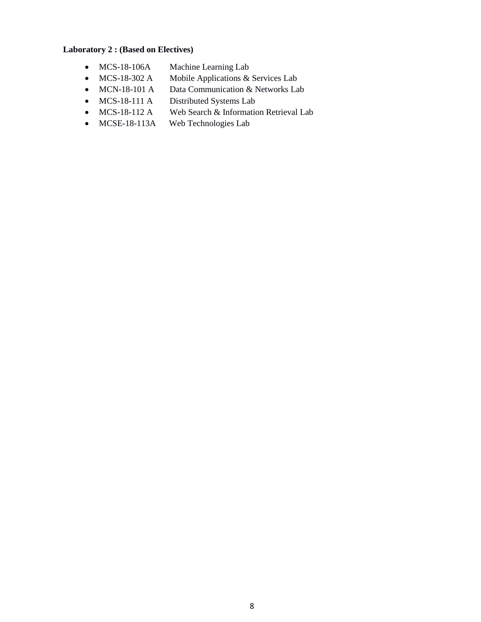# **Laboratory 2 : (Based on Electives)**

- MCS-18-106A Machine Learning Lab
- MCS-18-302 A Mobile Applications & Services Lab
- MCN-18-101 A Data Communication & Networks Lab
- MCS-18-111 A Distributed Systems Lab
- MCS-18-112 A Web Search & Information Retrieval Lab
- MCSE-18-113A Web Technologies Lab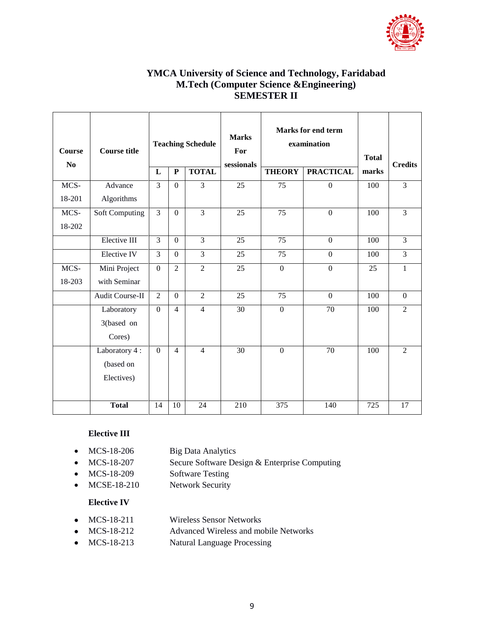

# **YMCA University of Science and Technology, Faridabad M.Tech (Computer Science &Engineering) SEMESTER II**

| <b>Course</b> | <b>Teaching Schedule</b><br><b>Course title</b> |                  |                |                |            | Marks for end term<br><b>Marks</b><br>examination<br>For |                  |       |                |
|---------------|-------------------------------------------------|------------------|----------------|----------------|------------|----------------------------------------------------------|------------------|-------|----------------|
| No            |                                                 | L                | ${\bf P}$      | <b>TOTAL</b>   | sessionals | <b>THEORY</b>                                            | <b>PRACTICAL</b> | marks | <b>Credits</b> |
| MCS-          | Advance                                         | $\overline{3}$   | $\Omega$       | $\overline{3}$ | 25         | 75                                                       | $\overline{0}$   | 100   | $\overline{3}$ |
| 18-201        | Algorithms                                      |                  |                |                |            |                                                          |                  |       |                |
| MCS-          | Soft Computing                                  | $\overline{3}$   | $\overline{0}$ | $\overline{3}$ | 25         | 75                                                       | $\boldsymbol{0}$ | 100   | $\overline{3}$ |
| 18-202        |                                                 |                  |                |                |            |                                                          |                  |       |                |
|               | Elective III                                    | 3                | $\Omega$       | 3              | 25         | 75                                                       | $\Omega$         | 100   | $\overline{3}$ |
|               | Elective IV                                     | $\overline{3}$   | $\overline{0}$ | $\overline{3}$ | 25         | 75                                                       | $\overline{0}$   | 100   | $\overline{3}$ |
| MCS-          | Mini Project                                    | $\boldsymbol{0}$ | $\overline{2}$ | $\overline{2}$ | 25         | $\boldsymbol{0}$                                         | $\overline{0}$   | 25    | $\mathbf{1}$   |
| 18-203        | with Seminar                                    |                  |                |                |            |                                                          |                  |       |                |
|               | Audit Course-II                                 | $\overline{2}$   | $\Omega$       | $\overline{2}$ | 25         | 75                                                       | $\Omega$         | 100   | $\Omega$       |
|               | Laboratory                                      | $\mathbf{0}$     | $\overline{4}$ | $\overline{4}$ | 30         | $\overline{0}$                                           | 70               | 100   | $\overline{2}$ |
|               | 3(based on                                      |                  |                |                |            |                                                          |                  |       |                |
|               | Cores)                                          |                  |                |                |            |                                                          |                  |       |                |
|               | Laboratory 4 :                                  | $\mathbf{0}$     | $\overline{4}$ | $\overline{4}$ | 30         | $\boldsymbol{0}$                                         | 70               | 100   | $\overline{2}$ |
|               | (based on                                       |                  |                |                |            |                                                          |                  |       |                |
|               | Electives)                                      |                  |                |                |            |                                                          |                  |       |                |
|               |                                                 |                  |                |                |            |                                                          |                  |       |                |
|               | <b>Total</b>                                    | 14               | 10             | 24             | 210        | 375                                                      | 140              | 725   | 17             |

# **Elective III**

- MCS-18-206 Big Data Analytics
- MCS-18-207 Secure Software Design & Enterprise Computing
- MCS-18-209 Software Testing
- MCSE-18-210 Network Security

#### **Elective IV**

- MCS-18-211 Wireless Sensor Networks
- MCS-18-212 Advanced Wireless and mobile Networks
- MCS-18-213 Natural Language Processing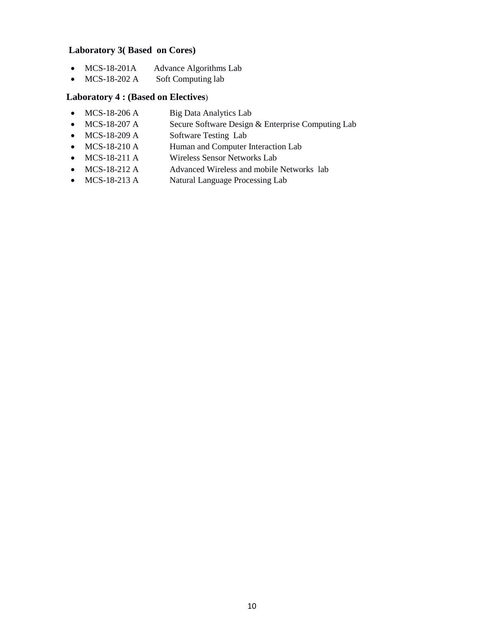# **Laboratory 3( Based on Cores)**

- MCS-18-201A Advance Algorithms Lab
- MCS-18-202 A Soft Computing lab

# **Laboratory 4 : (Based on Electives**)

- MCS-18-206 A Big Data Analytics Lab
- MCS-18-207 A Secure Software Design & Enterprise Computing Lab
- MCS-18-209 A Software Testing Lab
- MCS-18-210 A Human and Computer Interaction Lab
- MCS-18-211 A Wireless Sensor Networks Lab
- MCS-18-212 A Advanced Wireless and mobile Networks lab
- MCS-18-213 A Natural Language Processing Lab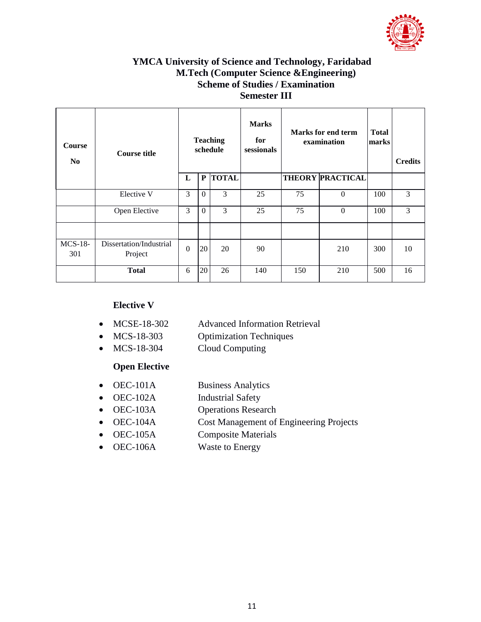

# **YMCA University of Science and Technology, Faridabad M.Tech (Computer Science &Engineering) Scheme of Studies / Examination Semester III**

| Course<br>N <sub>0</sub> | <b>Course title</b>                |                  |                | <b>Teaching</b><br>schedule | <b>Marks</b><br>for<br>sessionals | <b>Marks for end term</b><br>examination |                         | <b>Total</b><br>marks | <b>Credits</b> |
|--------------------------|------------------------------------|------------------|----------------|-----------------------------|-----------------------------------|------------------------------------------|-------------------------|-----------------------|----------------|
|                          |                                    | L                | P              | <b>TOTAL</b>                |                                   |                                          | <b>THEORY PRACTICAL</b> |                       |                |
|                          | Elective V                         | 3                | $\overline{0}$ | 3                           | 25                                | 75                                       | $\boldsymbol{0}$        | 100                   | 3              |
|                          | Open Elective                      | 3                | $\theta$       | 3                           | 25                                | 75                                       | $\mathbf{0}$            | 100                   | 3              |
|                          |                                    |                  |                |                             |                                   |                                          |                         |                       |                |
| $MCS-18-$<br>301         | Dissertation/Industrial<br>Project | $\boldsymbol{0}$ | 20             | 20                          | 90                                |                                          | 210                     | 300                   | 10             |
|                          | <b>Total</b>                       | 6                | 20             | 26                          | 140                               | 150                                      | 210                     | 500                   | 16             |

# **Elective V**

- MCSE-18-302 Advanced Information Retrieval
- MCS-18-303 Optimization Techniques
- MCS-18-304 Cloud Computing

# **Open Elective**

- OEC-101A Business Analytics
- OEC-102A Industrial Safety
- OEC-103A Operations Research
- OEC-104A Cost Management of Engineering Projects
- OEC-105A Composite Materials
- OEC-106A Waste to Energy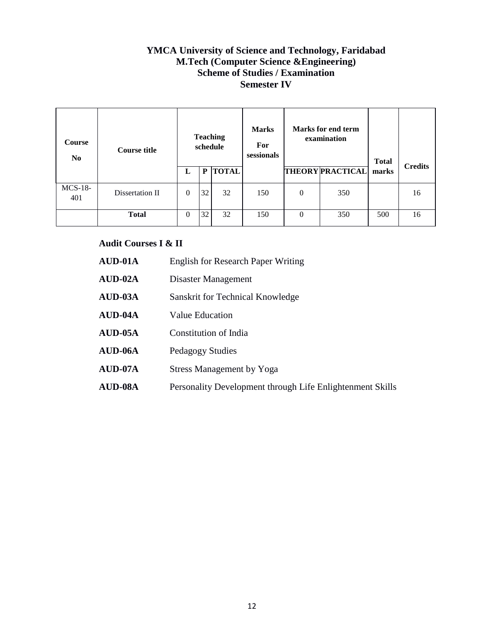# **YMCA University of Science and Technology, Faridabad M.Tech (Computer Science &Engineering) Scheme of Studies / Examination Semester IV**

| <b>Course</b><br>N <sub>0</sub> | <b>Course title</b> | <b>Teaching</b><br>schedule |    | <b>Marks</b><br>For<br>sessionals | Marks for end term<br>examination |                  | <b>Total</b>            | <b>Credits</b> |    |
|---------------------------------|---------------------|-----------------------------|----|-----------------------------------|-----------------------------------|------------------|-------------------------|----------------|----|
|                                 |                     | L                           | P  | <b>TOTAL</b>                      |                                   |                  | <b>THEORY PRACTICAL</b> | marks          |    |
| $MCS-18-$<br>401                | Dissertation II     | 0                           | 32 | 32                                | 150                               | $\boldsymbol{0}$ | 350                     |                | 16 |
|                                 | <b>Total</b>        | 0                           | 32 | 32                                | 150                               | $\Omega$         | 350                     | 500            | 16 |

# **Audit Courses I & II**

| $AUD-01A$ | <b>English for Research Paper Writing</b>                 |
|-----------|-----------------------------------------------------------|
| $AUD-02A$ | Disaster Management                                       |
| $AUD-03A$ | Sanskrit for Technical Knowledge                          |
| $AUD-04A$ | Value Education                                           |
| $AUD-05A$ | Constitution of India                                     |
| $AUD-06A$ | Pedagogy Studies                                          |
| $AUD-07A$ | <b>Stress Management by Yoga</b>                          |
| AUD-08A   | Personality Development through Life Enlightenment Skills |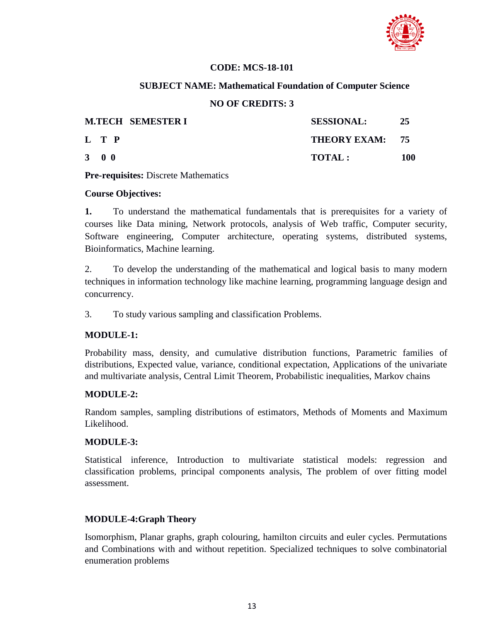

# **CODE: MCS-18-101**

# **SUBJECT NAME: Mathematical Foundation of Computer Science**

# **NO OF CREDITS: 3**

| <b>M.TECH SEMESTER I</b> | <b>SESSIONAL:</b> | -25 |
|--------------------------|-------------------|-----|
| L T P                    | THEORY EXAM: 75   |     |
| $3 \quad 0 \quad 0$      | TOTAL:            | 100 |

**Pre-requisites:** Discrete Mathematics

# **Course Objectives:**

**1.** To understand the mathematical fundamentals that is prerequisites for a variety of courses like Data mining, Network protocols, analysis of Web traffic, Computer security, Software engineering, Computer architecture, operating systems, distributed systems, Bioinformatics, Machine learning.

2. To develop the understanding of the mathematical and logical basis to many modern techniques in information technology like machine learning, programming language design and concurrency.

3. To study various sampling and classification Problems.

# **MODULE-1:**

Probability mass, density, and cumulative distribution functions, Parametric families of distributions, Expected value, variance, conditional expectation, Applications of the univariate and multivariate analysis, Central Limit Theorem, Probabilistic inequalities, Markov chains

# **MODULE-2:**

Random samples, sampling distributions of estimators, Methods of Moments and Maximum Likelihood.

# **MODULE-3:**

Statistical inference, Introduction to multivariate statistical models: regression and classification problems, principal components analysis, The problem of over fitting model assessment.

# **MODULE-4:Graph Theory**

Isomorphism, Planar graphs, graph colouring, hamilton circuits and euler cycles. Permutations and Combinations with and without repetition. Specialized techniques to solve combinatorial enumeration problems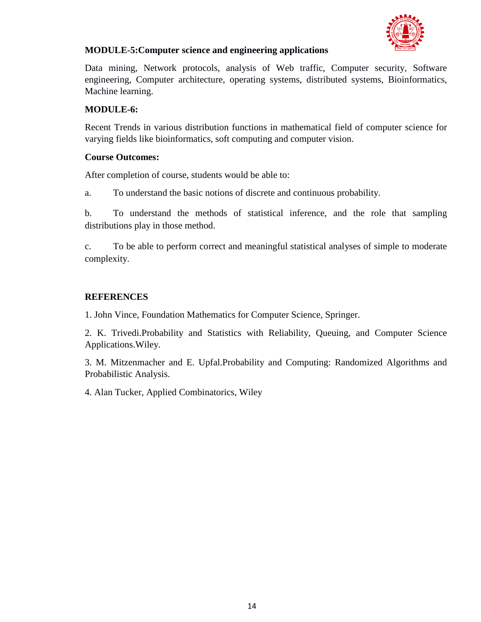

# **MODULE-5:Computer science and engineering applications**

Data mining, Network protocols, analysis of Web traffic, Computer security, Software engineering, Computer architecture, operating systems, distributed systems, Bioinformatics, Machine learning.

# **MODULE-6:**

Recent Trends in various distribution functions in mathematical field of computer science for varying fields like bioinformatics, soft computing and computer vision.

# **Course Outcomes:**

After completion of course, students would be able to:

a. To understand the basic notions of discrete and continuous probability.

b. To understand the methods of statistical inference, and the role that sampling distributions play in those method.

c. To be able to perform correct and meaningful statistical analyses of simple to moderate complexity.

# **REFERENCES**

1. John Vince, Foundation Mathematics for Computer Science, Springer.

2. K. Trivedi.Probability and Statistics with Reliability, Queuing, and Computer Science Applications.Wiley.

3. M. Mitzenmacher and E. Upfal.Probability and Computing: Randomized Algorithms and Probabilistic Analysis.

4. Alan Tucker, Applied Combinatorics, Wiley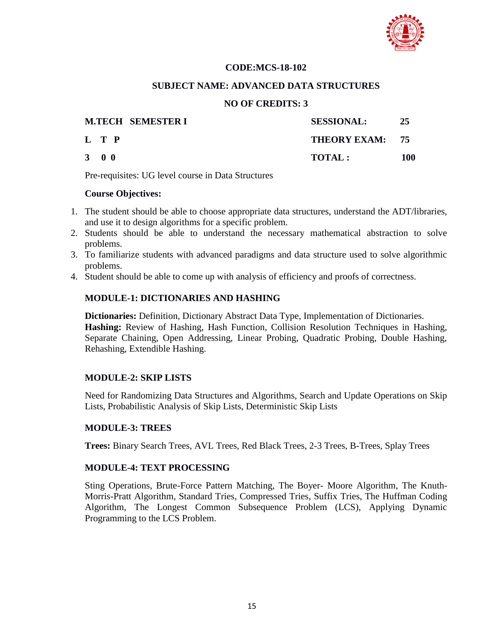

#### **CODE:MCS-18-102**

#### **SUBJECT NAME: ADVANCED DATA STRUCTURES**

# **NO OF CREDITS: 3**

| <b>M.TECH SEMESTER I</b> | <b>SESSIONAL:</b> | 25  |
|--------------------------|-------------------|-----|
| L T P                    | THEORY EXAM: 75   |     |
| $3 \quad 0 \quad 0$      | <b>TOTAL:</b>     | 100 |

Pre-requisites: UG level course in Data Structures

#### **Course Objectives:**

- 1. The student should be able to choose appropriate data structures, understand the ADT/libraries, and use it to design algorithms for a specific problem.
- 2. Students should be able to understand the necessary mathematical abstraction to solve problems.
- 3. To familiarize students with advanced paradigms and data structure used to solve algorithmic problems.
- 4. Student should be able to come up with analysis of efficiency and proofs of correctness.

# **MODULE-1: DICTIONARIES AND HASHING**

**Dictionaries:** Definition, Dictionary Abstract Data Type, Implementation of Dictionaries. **Hashing:** Review of Hashing, Hash Function, Collision Resolution Techniques in Hashing, Separate Chaining, Open Addressing, Linear Probing, Quadratic Probing, Double Hashing, Rehashing, Extendible Hashing.

# **MODULE-2: SKIP LISTS**

Need for Randomizing Data Structures and Algorithms, Search and Update Operations on Skip Lists, Probabilistic Analysis of Skip Lists, Deterministic Skip Lists

# **MODULE-3: TREES**

**Trees:** Binary Search Trees, AVL Trees, Red Black Trees, 2-3 Trees, B-Trees, Splay Trees

# **MODULE-4: TEXT PROCESSING**

Sting Operations, Brute-Force Pattern Matching, The Boyer- Moore Algorithm, The Knuth-Morris-Pratt Algorithm, Standard Tries, Compressed Tries, Suffix Tries, The Huffman Coding Algorithm, The Longest Common Subsequence Problem (LCS), Applying Dynamic Programming to the LCS Problem.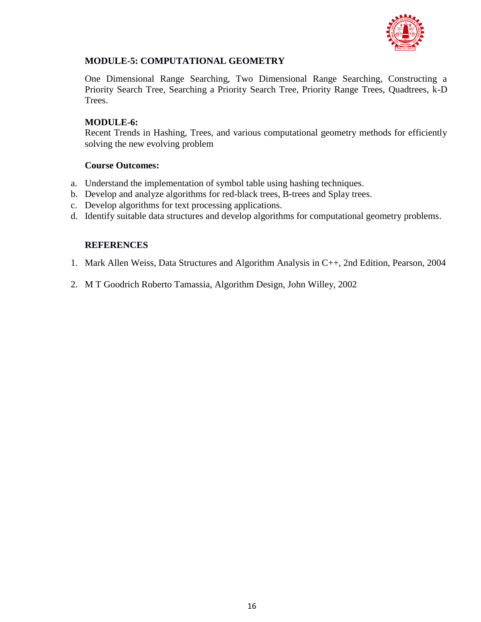

# **MODULE-5: COMPUTATIONAL GEOMETRY**

One Dimensional Range Searching, Two Dimensional Range Searching, Constructing a Priority Search Tree, Searching a Priority Search Tree, Priority Range Trees, Quadtrees, k-D Trees.

# **MODULE-6:**

Recent Trends in Hashing, Trees, and various computational geometry methods for efficiently solving the new evolving problem

# **Course Outcomes:**

- a. Understand the implementation of symbol table using hashing techniques.
- b. Develop and analyze algorithms for red-black trees, B-trees and Splay trees.
- c. Develop algorithms for text processing applications.
- d. Identify suitable data structures and develop algorithms for computational geometry problems.

# **REFERENCES**

- 1. Mark Allen Weiss, Data Structures and Algorithm Analysis in C++, 2nd Edition, Pearson, 2004
- 2. M T Goodrich Roberto Tamassia, Algorithm Design, John Willey, 2002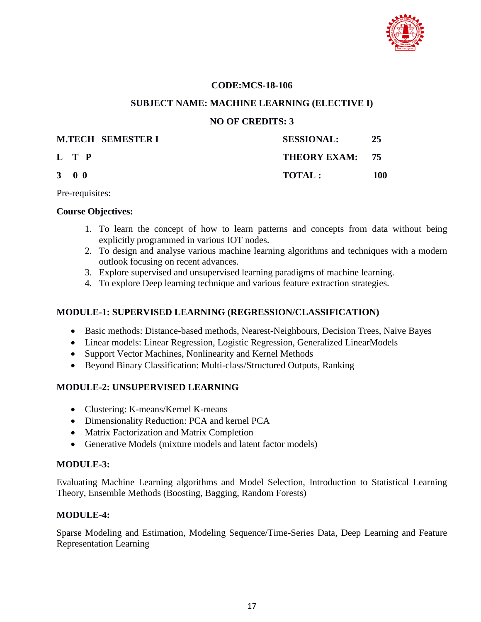

#### **CODE:MCS-18-106**

#### **SUBJECT NAME: MACHINE LEARNING (ELECTIVE I)**

#### **NO OF CREDITS: 3**

|                     | <b>M.TECH SEMESTER I</b> | <b>SESSIONAL:</b> | 25  |
|---------------------|--------------------------|-------------------|-----|
| L T P               |                          | THEORY EXAM: 75   |     |
| $3 \quad 0 \quad 0$ |                          | <b>TOTAL:</b>     | 100 |

Pre-requisites:

#### **Course Objectives:**

- 1. To learn the concept of how to learn patterns and concepts from data without being explicitly programmed in various IOT nodes.
- 2. To design and analyse various machine learning algorithms and techniques with a modern outlook focusing on recent advances.
- 3. Explore supervised and unsupervised learning paradigms of machine learning.
- 4. To explore Deep learning technique and various feature extraction strategies.

# **MODULE-1: SUPERVISED LEARNING (REGRESSION/CLASSIFICATION)**

- Basic methods: Distance-based methods, Nearest-Neighbours, Decision Trees, Naive Bayes
- Linear models: Linear Regression, Logistic Regression, Generalized LinearModels
- Support Vector Machines, Nonlinearity and Kernel Methods
- Beyond Binary Classification: Multi-class/Structured Outputs, Ranking

# **MODULE-2: UNSUPERVISED LEARNING**

- Clustering: K-means/Kernel K-means
- Dimensionality Reduction: PCA and kernel PCA
- Matrix Factorization and Matrix Completion
- Generative Models (mixture models and latent factor models)

# **MODULE-3:**

Evaluating Machine Learning algorithms and Model Selection, Introduction to Statistical Learning Theory, Ensemble Methods (Boosting, Bagging, Random Forests)

# **MODULE-4:**

Sparse Modeling and Estimation, Modeling Sequence/Time-Series Data, Deep Learning and Feature Representation Learning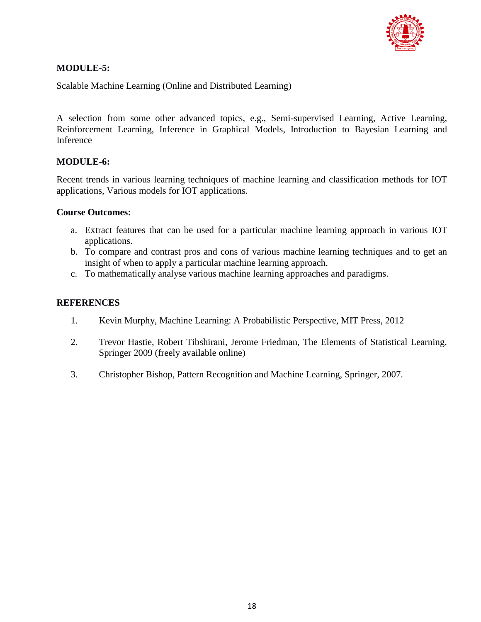

# **MODULE-5:**

Scalable Machine Learning (Online and Distributed Learning)

A selection from some other advanced topics, e.g., Semi-supervised Learning, Active Learning, Reinforcement Learning, Inference in Graphical Models, Introduction to Bayesian Learning and Inference

# **MODULE-6:**

Recent trends in various learning techniques of machine learning and classification methods for IOT applications, Various models for IOT applications.

# **Course Outcomes:**

- a. Extract features that can be used for a particular machine learning approach in various IOT applications.
- b. To compare and contrast pros and cons of various machine learning techniques and to get an insight of when to apply a particular machine learning approach.
- c. To mathematically analyse various machine learning approaches and paradigms.

# **REFERENCES**

- 1. Kevin Murphy, Machine Learning: A Probabilistic Perspective, MIT Press, 2012
- 2. Trevor Hastie, Robert Tibshirani, Jerome Friedman, The Elements of Statistical Learning, Springer 2009 (freely available online)
- 3. Christopher Bishop, Pattern Recognition and Machine Learning, Springer, 2007.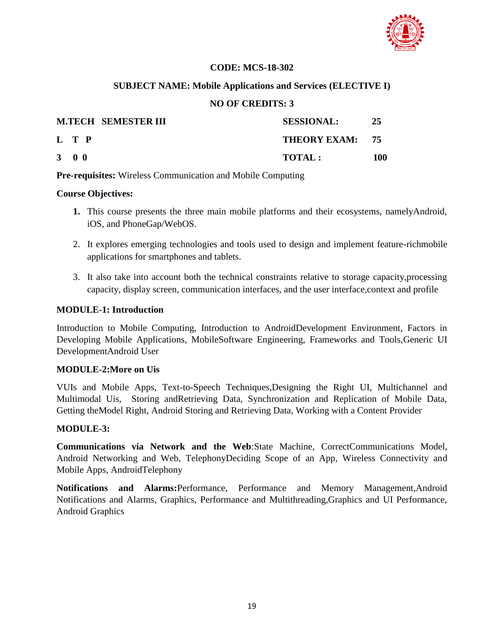

# **CODE: MCS-18-302**

# **SUBJECT NAME: Mobile Applications and Services (ELECTIVE I)**

# **NO OF CREDITS: 3**

|                     | <b>M.TECH SEMESTER III</b> | <b>SESSIONAL:</b> | 25  |
|---------------------|----------------------------|-------------------|-----|
| L T P               |                            | THEORY EXAM: 75   |     |
| $3 \quad 0 \quad 0$ |                            | TOTAL:            | 100 |

**Pre-requisites:** Wireless Communication and Mobile Computing

# **Course Objectives:**

- **1.** This course presents the three main mobile platforms and their ecosystems, namelyAndroid, iOS, and PhoneGap/WebOS.
- 2. It explores emerging technologies and tools used to design and implement feature-richmobile applications for smartphones and tablets.
- 3. It also take into account both the technical constraints relative to storage capacity,processing capacity, display screen, communication interfaces, and the user interface,context and profile

# **MODULE-1: Introduction**

Introduction to Mobile Computing, Introduction to AndroidDevelopment Environment, Factors in Developing Mobile Applications, MobileSoftware Engineering, Frameworks and Tools,Generic UI DevelopmentAndroid User

# **MODULE-2:More on Uis**

VUIs and Mobile Apps, Text-to-Speech Techniques,Designing the Right UI, Multichannel and Multimodal Uis, Storing andRetrieving Data, Synchronization and Replication of Mobile Data, Getting theModel Right, Android Storing and Retrieving Data, Working with a Content Provider

# **MODULE-3:**

**Communications via Network and the Web**:State Machine, CorrectCommunications Model, Android Networking and Web, TelephonyDeciding Scope of an App, Wireless Connectivity and Mobile Apps, AndroidTelephony

**Notifications and Alarms:**Performance, Performance and Memory Management,Android Notifications and Alarms, Graphics, Performance and Multithreading,Graphics and UI Performance, Android Graphics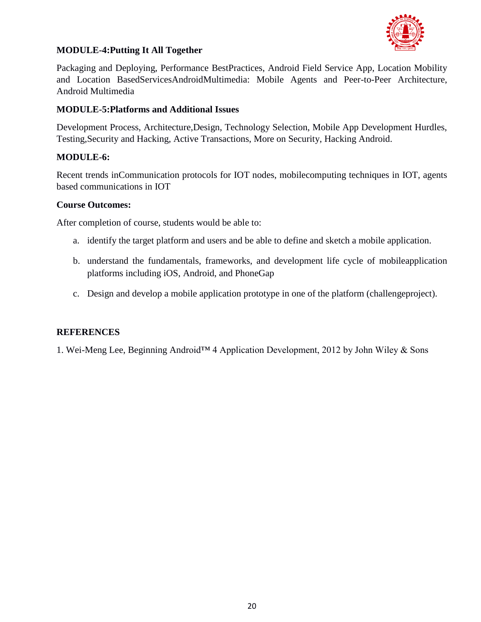

# **MODULE-4:Putting It All Together**

Packaging and Deploying, Performance BestPractices, Android Field Service App, Location Mobility and Location BasedServicesAndroidMultimedia: Mobile Agents and Peer-to-Peer Architecture, Android Multimedia

# **MODULE-5:Platforms and Additional Issues**

Development Process, Architecture,Design, Technology Selection, Mobile App Development Hurdles, Testing,Security and Hacking, Active Transactions, More on Security, Hacking Android.

# **MODULE-6:**

Recent trends inCommunication protocols for IOT nodes, mobilecomputing techniques in IOT, agents based communications in IOT

# **Course Outcomes:**

After completion of course, students would be able to:

- a. identify the target platform and users and be able to define and sketch a mobile application.
- b. understand the fundamentals, frameworks, and development life cycle of mobileapplication platforms including iOS, Android, and PhoneGap
- c. Design and develop a mobile application prototype in one of the platform (challengeproject).

# **REFERENCES**

1. Wei-Meng Lee, Beginning Android™ 4 Application Development, 2012 by John Wiley & Sons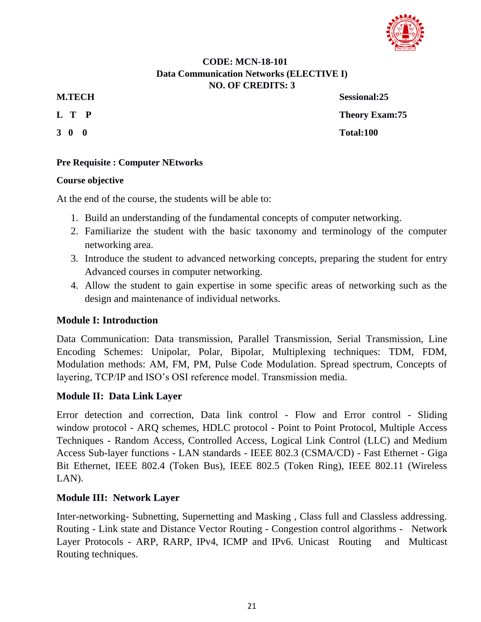

# **CODE: MCN-18-101 Data Communication Networks (ELECTIVE I) NO. OF CREDITS: 3**

- 
- 

**M.TECH Sessional:25 L T P** Theory Exam: 75 **3 0 0 Total:100**

# **Pre Requisite : Computer NEtworks**

# **Course objective**

At the end of the course, the students will be able to:

- 1. Build an understanding of the fundamental concepts of computer networking.
- 2. Familiarize the student with the basic taxonomy and terminology of the computer networking area.
- 3. Introduce the student to advanced networking concepts, preparing the student for entry Advanced courses in computer networking.
- 4. Allow the student to gain expertise in some specific areas of networking such as the design and maintenance of individual networks.

# **Module I: Introduction**

Data Communication: Data transmission, Parallel Transmission, Serial Transmission, Line Encoding Schemes: Unipolar, Polar, Bipolar, Multiplexing techniques: TDM, FDM, Modulation methods: AM, FM, PM, Pulse Code Modulation. Spread spectrum, Concepts of layering, TCP/IP and ISO"s OSI reference model. Transmission media.

# **Module II: Data Link Layer**

Error detection and correction, Data link control - Flow and Error control - Sliding window protocol - ARQ schemes, HDLC protocol - Point to Point Protocol, Multiple Access Techniques - Random Access, Controlled Access, Logical Link Control (LLC) and Medium Access Sub-layer functions - LAN standards - IEEE 802.3 (CSMA/CD) - Fast Ethernet - Giga Bit Ethernet, IEEE 802.4 (Token Bus), IEEE 802.5 (Token Ring), IEEE 802.11 (Wireless LAN).

# **Module III: Network Layer**

Inter-networking- Subnetting, Supernetting and Masking , Class full and Classless addressing. Routing - Link state and Distance Vector Routing - Congestion control algorithms - Network Layer Protocols - ARP, RARP, IPv4, ICMP and IPv6. Unicast Routing and Multicast Routing techniques.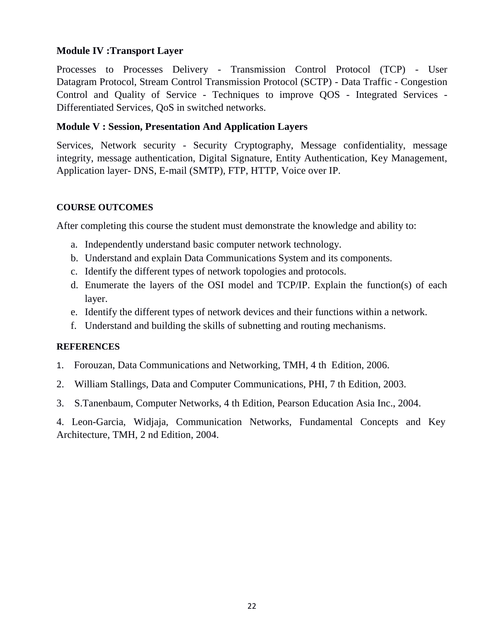# **Module IV :Transport Layer**

Processes to Processes Delivery - Transmission Control Protocol (TCP) - User Datagram Protocol, Stream Control Transmission Protocol (SCTP) - Data Traffic - Congestion Control and Quality of Service - Techniques to improve QOS - Integrated Services - Differentiated Services, QoS in switched networks.

# **Module V : Session, Presentation And Application Layers**

Services, Network security - Security Cryptography, Message confidentiality, message integrity, message authentication, Digital Signature, Entity Authentication, Key Management, Application layer- DNS, E-mail (SMTP), FTP, HTTP, Voice over IP.

# **COURSE OUTCOMES**

After completing this course the student must demonstrate the knowledge and ability to:

- a. Independently understand basic computer network technology.
- b. Understand and explain Data Communications System and its components.
- c. Identify the different types of network topologies and protocols.
- d. Enumerate the layers of the OSI model and TCP/IP. Explain the function(s) of each layer.
- e. Identify the different types of network devices and their functions within a network.
- f. Understand and building the skills of subnetting and routing mechanisms.

# **REFERENCES**

- 1. Forouzan, Data Communications and Networking, TMH, 4 th Edition, 2006.
- 2. William Stallings, Data and Computer Communications, PHI, 7 th Edition, 2003.
- 3. S.Tanenbaum, Computer Networks, 4 th Edition, Pearson Education Asia Inc., 2004.

4. Leon-Garcia, Widjaja, Communication Networks, Fundamental Concepts and Key Architecture, TMH, 2 nd Edition, 2004.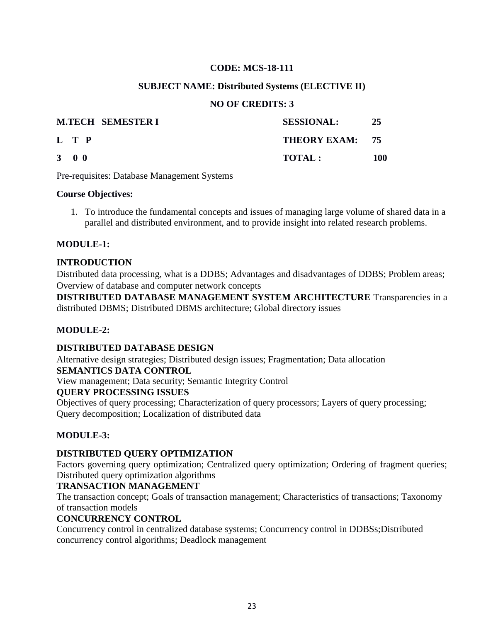# **CODE: MCS-18-111**

# **SUBJECT NAME: Distributed Systems (ELECTIVE II)**

# **NO OF CREDITS: 3**

|                     | <b>M.TECH SEMESTER I</b> | <b>SESSIONAL:</b> | 25  |
|---------------------|--------------------------|-------------------|-----|
| L T P               |                          | THEORY EXAM: 75   |     |
| $3 \quad 0 \quad 0$ |                          | <b>TOTAL:</b>     | 100 |

Pre-requisites: Database Management Systems

# **Course Objectives:**

1. To introduce the fundamental concepts and issues of managing large volume of shared data in a parallel and distributed environment, and to provide insight into related research problems.

# **MODULE-1:**

# **INTRODUCTION**

Distributed data processing, what is a DDBS; Advantages and disadvantages of DDBS; Problem areas; Overview of database and computer network concepts

**DISTRIBUTED DATABASE MANAGEMENT SYSTEM ARCHITECTURE** Transparencies in a distributed DBMS; Distributed DBMS architecture; Global directory issues

# **MODULE-2:**

# **DISTRIBUTED DATABASE DESIGN**

Alternative design strategies; Distributed design issues; Fragmentation; Data allocation **SEMANTICS DATA CONTROL**

View management; Data security; Semantic Integrity Control

# **QUERY PROCESSING ISSUES**

Objectives of query processing; Characterization of query processors; Layers of query processing; Query decomposition; Localization of distributed data

# **MODULE-3:**

# **DISTRIBUTED QUERY OPTIMIZATION**

Factors governing query optimization; Centralized query optimization; Ordering of fragment queries; Distributed query optimization algorithms

# **TRANSACTION MANAGEMENT**

The transaction concept; Goals of transaction management; Characteristics of transactions; Taxonomy of transaction models

# **CONCURRENCY CONTROL**

Concurrency control in centralized database systems; Concurrency control in DDBSs;Distributed concurrency control algorithms; Deadlock management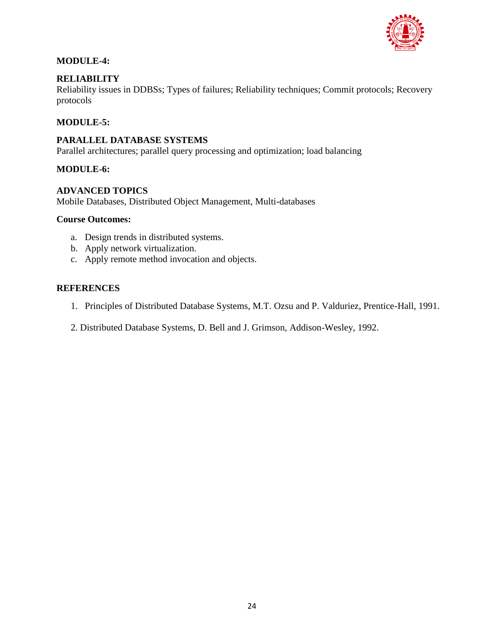

# **MODULE-4:**

# **RELIABILITY**

Reliability issues in DDBSs; Types of failures; Reliability techniques; Commit protocols; Recovery protocols

# **MODULE-5:**

# **PARALLEL DATABASE SYSTEMS**

Parallel architectures; parallel query processing and optimization; load balancing

# **MODULE-6:**

# **ADVANCED TOPICS**

Mobile Databases, Distributed Object Management, Multi-databases

#### **Course Outcomes:**

- a. Design trends in distributed systems.
- b. Apply network virtualization.
- c. Apply remote method invocation and objects.

# **REFERENCES**

- 1. Principles of Distributed Database Systems, M.T. Ozsu and P. Valduriez, Prentice-Hall, 1991.
- 2. Distributed Database Systems, D. Bell and J. Grimson, Addison-Wesley, 1992.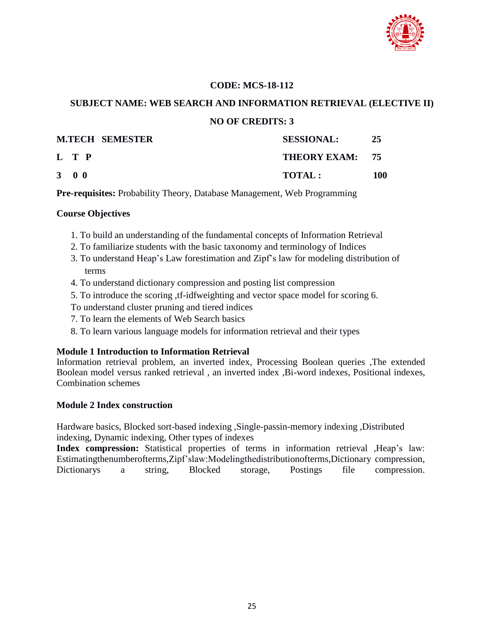

# **CODE: MCS-18-112**

# **SUBJECT NAME: WEB SEARCH AND INFORMATION RETRIEVAL (ELECTIVE II) NO OF CREDITS: 3**

|                     | <b>M.TECH SEMESTER</b> | <b>SESSIONAL:</b> | 25  |
|---------------------|------------------------|-------------------|-----|
| L T P               |                        | THEORY EXAM: 75   |     |
| $3 \quad 0 \quad 0$ |                        | <b>TOTAL:</b>     | 100 |

**Pre-requisites:** Probability Theory, Database Management, Web Programming

# **Course Objectives**

- 1. To build an understanding of the fundamental concepts of Information Retrieval
- 2. To familiarize students with the basic taxonomy and terminology of Indices
- 3. To understand Heap"s Law forestimation and Zipf"s law for modeling distribution of terms
- 4. To understand dictionary compression and posting list compression
- 5. To introduce the scoring ,tf-idfweighting and vector space model for scoring 6.
- To understand cluster pruning and tiered indices
- 7. To learn the elements of Web Search basics
- 8. To learn various language models for information retrieval and their types

# **Module 1 Introduction to Information Retrieval**

Information retrieval problem, an inverted index, Processing Boolean queries ,The extended Boolean model versus ranked retrieval , an inverted index ,Bi-word indexes, Positional indexes, Combination schemes

# **Module 2 Index construction**

Hardware basics, Blocked sort-based indexing ,Single-passin-memory indexing ,Distributed indexing, Dynamic indexing, Other types of indexes

Index compression: Statistical properties of terms in information retrieval ,Heap's law: Estimatingthenumberofterms,Zipf"slaw:Modelingthedistributionofterms,Dictionary compression, Dictionarys a string, Blocked storage, Postings file compression.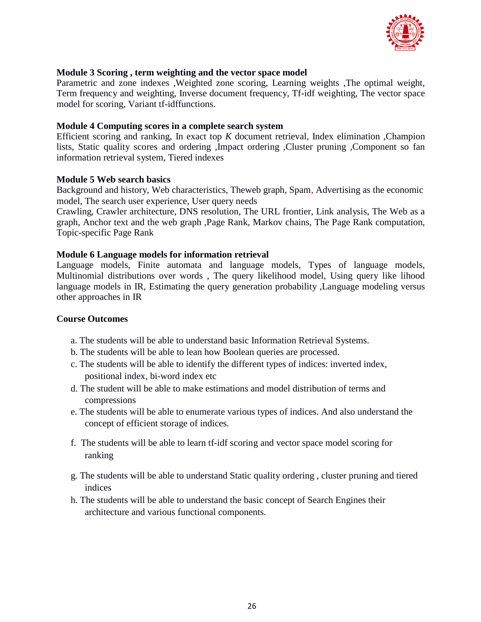

# **Module 3 Scoring , term weighting and the vector space model**

Parametric and zone indexes ,Weighted zone scoring, Learning weights ,The optimal weight, Term frequency and weighting, Inverse document frequency, Tf-idf weighting, The vector space model for scoring, Variant tf-idffunctions.

# **Module 4 Computing scores in a complete search system**

Efficient scoring and ranking, In exact top *K* document retrieval, Index elimination ,Champion lists, Static quality scores and ordering ,Impact ordering ,Cluster pruning ,Component so fan information retrieval system, Tiered indexes

#### **Module 5 Web search basics**

Background and history, Web characteristics, Theweb graph, Spam, Advertising as the economic model, The search user experience, User query needs

Crawling, Crawler architecture, DNS resolution, The URL frontier, Link analysis, The Web as a graph, Anchor text and the web graph ,Page Rank, Markov chains, The Page Rank computation, Topic-specific Page Rank

#### **Module 6 Language models for information retrieval**

Language models, Finite automata and language models, Types of language models, Multinomial distributions over words , The query likelihood model, Using query like lihood language models in IR, Estimating the query generation probability Language modeling versus other approaches in IR

#### **Course Outcomes**

- a. The students will be able to understand basic Information Retrieval Systems.
- b. The students will be able to lean how Boolean queries are processed.
- c. The students will be able to identify the different types of indices: inverted index, positional index, bi-word index etc
- d. The student will be able to make estimations and model distribution of terms and compressions
- e. The students will be able to enumerate various types of indices. And also understand the concept of efficient storage of indices.
- f. The students will be able to learn tf-idf scoring and vector space model scoring for ranking
- g. The students will be able to understand Static quality ordering , cluster pruning and tiered indices
- h. The students will be able to understand the basic concept of Search Engines their architecture and various functional components.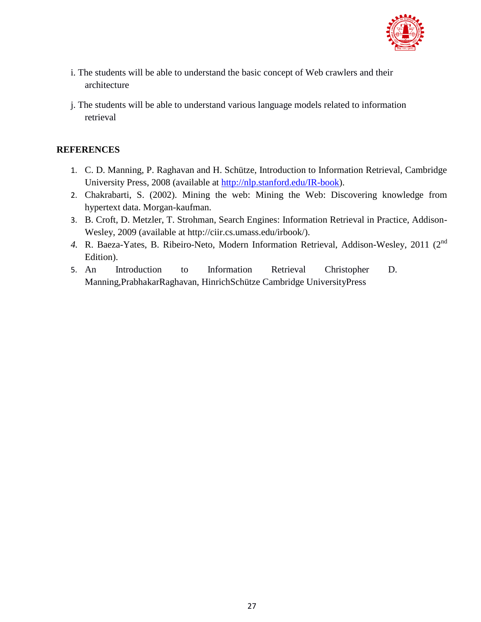

- i. The students will be able to understand the basic concept of Web crawlers and their architecture
- j. The students will be able to understand various language models related to information retrieval

# **REFERENCES**

- 1. C. D. Manning, P. Raghavan and H. Schütze, Introduction to Information Retrieval, Cambridge University Press, 2008 (available at [http://nlp.stanford.edu/IR-book\)](http://nlp.stanford.edu/IR-book).
- 2. Chakrabarti, S. (2002). Mining the web: Mining the Web: Discovering knowledge from hypertext data. Morgan-kaufman.
- 3. B. Croft, D. Metzler, T. Strohman, Search Engines: Information Retrieval in Practice, Addison-Wesley, 2009 (available at http://ciir.cs.umass.edu/irbook/).
- *4.* R. Baeza-Yates, B. Ribeiro-Neto, Modern Information Retrieval, Addison-Wesley, 2011 (2nd Edition).
- 5. An Introduction to Information Retrieval Christopher D. Manning,PrabhakarRaghavan, HinrichSchütze Cambridge UniversityPress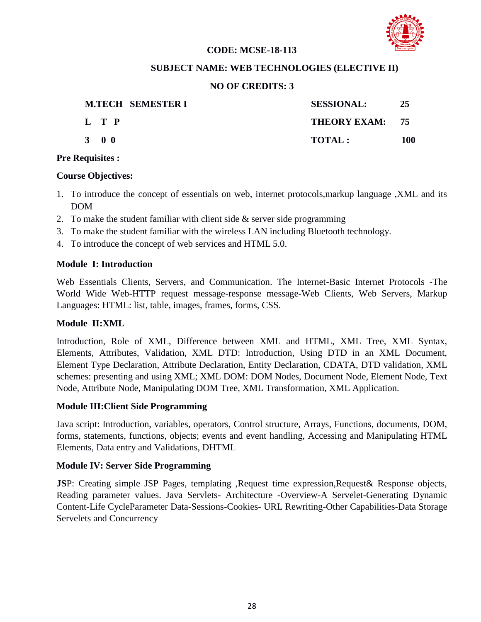

# **CODE: MCSE-18-113**

# **SUBJECT NAME: WEB TECHNOLOGIES (ELECTIVE II)**

# **NO OF CREDITS: 3**

| <b>M.TECH SEMESTER I</b> | <b>SESSIONAL:</b> | 25  |
|--------------------------|-------------------|-----|
| L T P                    | THEORY EXAM: 75   |     |
| 3 0 0                    | TOTAL :           | 100 |

#### **Pre Requisites :**

#### **Course Objectives:**

- 1. To introduce the concept of essentials on web, internet protocols,markup language ,XML and its DOM
- 2. To make the student familiar with client side  $\&$  server side programming
- 3. To make the student familiar with the wireless LAN including Bluetooth technology.
- 4. To introduce the concept of web services and HTML 5.0.

# **Module I: Introduction**

Web Essentials Clients, Servers, and Communication. The Internet-Basic Internet Protocols -The World Wide Web-HTTP request message-response message-Web Clients, Web Servers, Markup Languages: HTML: list, table, images, frames, forms, CSS.

# **Module II:XML**

Introduction, Role of XML, Difference between XML and HTML, XML Tree, XML Syntax, Elements, Attributes, Validation, XML DTD: Introduction, Using DTD in an XML Document, Element Type Declaration, Attribute Declaration, Entity Declaration, CDATA, DTD validation, XML schemes: presenting and using XML; XML DOM: DOM Nodes, Document Node, Element Node, Text Node, Attribute Node, Manipulating DOM Tree, XML Transformation, XML Application.

# **Module III:Client Side Programming**

Java script: Introduction, variables, operators, Control structure, Arrays, Functions, documents, DOM, forms, statements, functions, objects; events and event handling, Accessing and Manipulating HTML Elements, Data entry and Validations, DHTML

# **Module IV: Server Side Programming**

**JS**P: Creating simple JSP Pages, templating ,Request time expression,Request& Response objects, Reading parameter values. Java Servlets- Architecture -Overview-A Servelet-Generating Dynamic Content-Life CycleParameter Data-Sessions-Cookies- URL Rewriting-Other Capabilities-Data Storage Servelets and Concurrency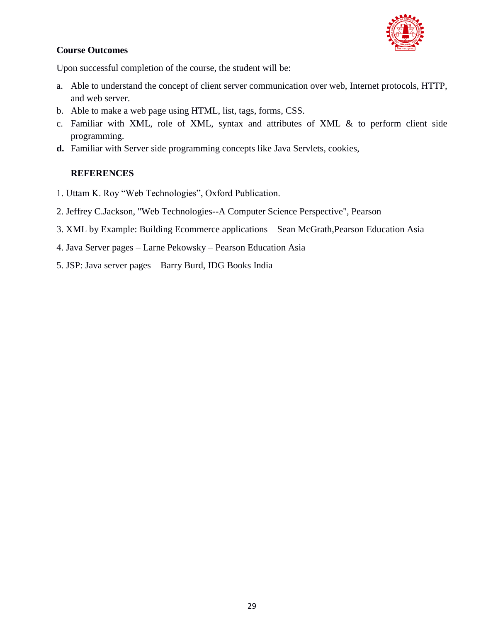

# **Course Outcomes**

Upon successful completion of the course, the student will be:

- a. Able to understand the concept of client server communication over web, Internet protocols, HTTP, and web server.
- b. Able to make a web page using HTML, list, tags, forms, CSS.
- c. Familiar with XML, role of XML, syntax and attributes of XML & to perform client side programming.
- **d.** Familiar with Server side programming concepts like Java Servlets, cookies,

# **REFERENCES**

- 1. Uttam K. Roy "Web Technologies", Oxford Publication.
- 2. Jeffrey C.Jackson, "Web Technologies--A Computer Science Perspective", Pearson
- 3. XML by Example: Building Ecommerce applications Sean McGrath,Pearson Education Asia
- 4. Java Server pages Larne Pekowsky Pearson Education Asia
- 5. JSP: Java server pages Barry Burd, IDG Books India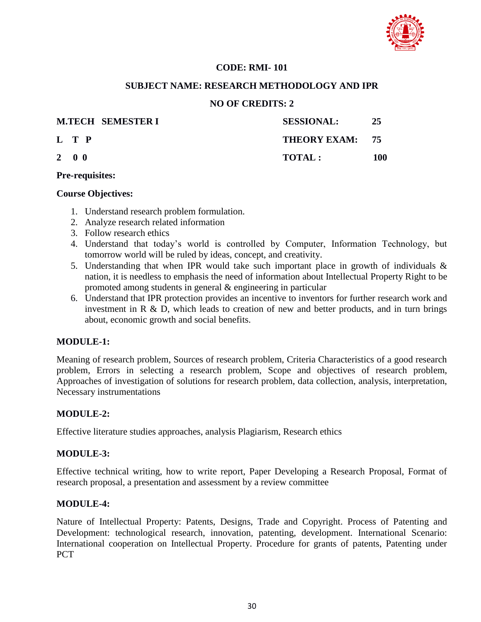

# **CODE: RMI- 101**

# **SUBJECT NAME: RESEARCH METHODOLOGY AND IPR**

# **NO OF CREDITS: 2**

| <b>M.TECH SEMESTER I</b> | <b>SESSIONAL:</b> | 25  |
|--------------------------|-------------------|-----|
| L T P                    | THEORY EXAM: 75   |     |
| $2 \quad 0 \quad 0$      | <b>TOTAL:</b>     | 100 |

#### **Pre-requisites:**

#### **Course Objectives:**

- 1. Understand research problem formulation.
- 2. Analyze research related information
- 3. Follow research ethics
- 4. Understand that today"s world is controlled by Computer, Information Technology, but tomorrow world will be ruled by ideas, concept, and creativity.
- 5. Understanding that when IPR would take such important place in growth of individuals & nation, it is needless to emphasis the need of information about Intellectual Property Right to be promoted among students in general & engineering in particular
- 6. Understand that IPR protection provides an incentive to inventors for further research work and investment in R & D, which leads to creation of new and better products, and in turn brings about, economic growth and social benefits.

# **MODULE-1:**

Meaning of research problem, Sources of research problem, Criteria Characteristics of a good research problem, Errors in selecting a research problem, Scope and objectives of research problem, Approaches of investigation of solutions for research problem, data collection, analysis, interpretation, Necessary instrumentations

# **MODULE-2:**

Effective literature studies approaches, analysis Plagiarism, Research ethics

# **MODULE-3:**

Effective technical writing, how to write report, Paper Developing a Research Proposal, Format of research proposal, a presentation and assessment by a review committee

# **MODULE-4:**

Nature of Intellectual Property: Patents, Designs, Trade and Copyright. Process of Patenting and Development: technological research, innovation, patenting, development. International Scenario: International cooperation on Intellectual Property. Procedure for grants of patents, Patenting under **PCT**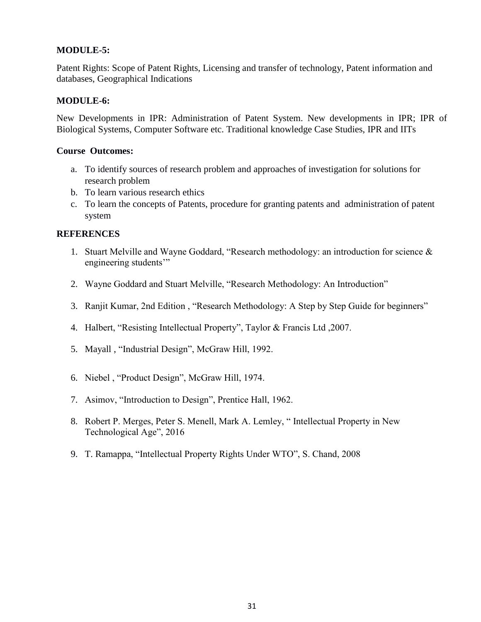# **MODULE-5:**

Patent Rights: Scope of Patent Rights, Licensing and transfer of technology, Patent information and databases, Geographical Indications

# **MODULE-6:**

New Developments in IPR: Administration of Patent System. New developments in IPR; IPR of Biological Systems, Computer Software etc. Traditional knowledge Case Studies, IPR and IITs

# **Course Outcomes:**

- a. To identify sources of research problem and approaches of investigation for solutions for research problem
- b. To learn various research ethics
- c. To learn the concepts of Patents, procedure for granting patents and administration of patent system

# **REFERENCES**

- 1. Stuart Melville and Wayne Goddard, "Research methodology: an introduction for science & engineering students"
- 2. Wayne Goddard and Stuart Melville, "Research Methodology: An Introduction"
- 3. Ranjit Kumar, 2nd Edition , "Research Methodology: A Step by Step Guide for beginners"
- 4. Halbert, "Resisting Intellectual Property", Taylor & Francis Ltd ,2007.
- 5. Mayall , "Industrial Design", McGraw Hill, 1992.
- 6. Niebel , "Product Design", McGraw Hill, 1974.
- 7. Asimov, "Introduction to Design", Prentice Hall, 1962.
- 8. Robert P. Merges, Peter S. Menell, Mark A. Lemley, " Intellectual Property in New Technological Age", 2016
- 9. T. Ramappa, "Intellectual Property Rights Under WTO", S. Chand, 2008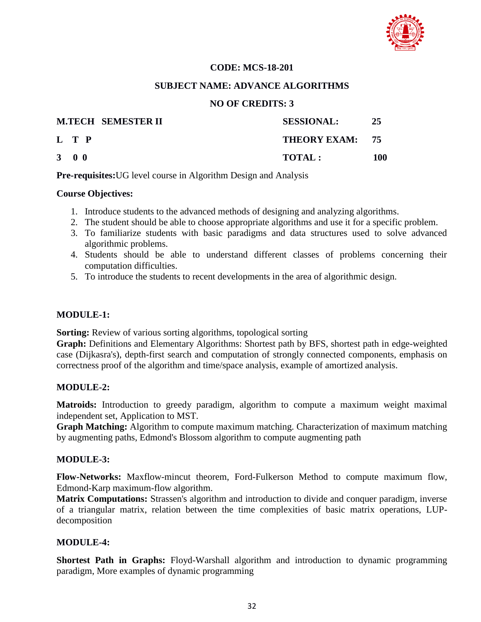

# **CODE: MCS-18-201**

#### **SUBJECT NAME: ADVANCE ALGORITHMS**

# **NO OF CREDITS: 3**

|                     | <b>M.TECH SEMESTER II</b> | <b>SESSIONAL:</b> | 25  |
|---------------------|---------------------------|-------------------|-----|
| L T P               |                           | THEORY EXAM: 75   |     |
| $3 \quad 0 \quad 0$ |                           | TOTAL:            | 100 |

**Pre-requisites:**UG level course in Algorithm Design and Analysis

# **Course Objectives:**

- 1. Introduce students to the advanced methods of designing and analyzing algorithms.
- 2. The student should be able to choose appropriate algorithms and use it for a specific problem.
- 3. To familiarize students with basic paradigms and data structures used to solve advanced algorithmic problems.
- 4. Students should be able to understand different classes of problems concerning their computation difficulties.
- 5. To introduce the students to recent developments in the area of algorithmic design.

# **MODULE-1:**

**Sorting:** Review of various sorting algorithms, topological sorting

**Graph:** Definitions and Elementary Algorithms: Shortest path by BFS, shortest path in edge-weighted case (Dijkasra's), depth-first search and computation of strongly connected components, emphasis on correctness proof of the algorithm and time/space analysis, example of amortized analysis.

# **MODULE-2:**

**Matroids:** Introduction to greedy paradigm, algorithm to compute a maximum weight maximal independent set, Application to MST.

**Graph Matching:** Algorithm to compute maximum matching. Characterization of maximum matching by augmenting paths, Edmond's Blossom algorithm to compute augmenting path

# **MODULE-3:**

**Flow-Networks:** Maxflow-mincut theorem, Ford-Fulkerson Method to compute maximum flow, Edmond-Karp maximum-flow algorithm.

**Matrix Computations:** Strassen's algorithm and introduction to divide and conquer paradigm, inverse of a triangular matrix, relation between the time complexities of basic matrix operations, LUPdecomposition

# **MODULE-4:**

**Shortest Path in Graphs:** Floyd-Warshall algorithm and introduction to dynamic programming paradigm, More examples of dynamic programming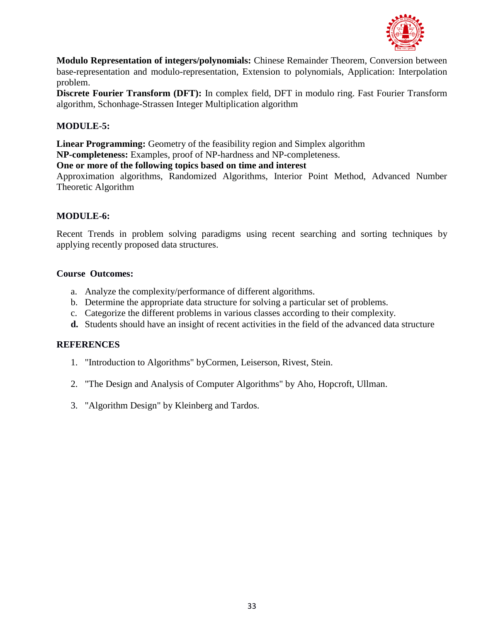

**Modulo Representation of integers/polynomials:** Chinese Remainder Theorem, Conversion between base-representation and modulo-representation, Extension to polynomials, Application: Interpolation problem.

**Discrete Fourier Transform (DFT):** In complex field, DFT in modulo ring. Fast Fourier Transform algorithm, Schonhage-Strassen Integer Multiplication algorithm

# **MODULE-5:**

**Linear Programming:** Geometry of the feasibility region and Simplex algorithm

**NP-completeness:** Examples, proof of NP-hardness and NP-completeness.

# **One or more of the following topics based on time and interest**

Approximation algorithms, Randomized Algorithms, Interior Point Method, Advanced Number Theoretic Algorithm

# **MODULE-6:**

Recent Trends in problem solving paradigms using recent searching and sorting techniques by applying recently proposed data structures.

# **Course Outcomes:**

- a. Analyze the complexity/performance of different algorithms.
- b. Determine the appropriate data structure for solving a particular set of problems.
- c. Categorize the different problems in various classes according to their complexity.
- **d.** Students should have an insight of recent activities in the field of the advanced data structure

# **REFERENCES**

- 1. "Introduction to Algorithms" byCormen, Leiserson, Rivest, Stein.
- 2. "The Design and Analysis of Computer Algorithms" by Aho, Hopcroft, Ullman.
- 3. "Algorithm Design" by Kleinberg and Tardos.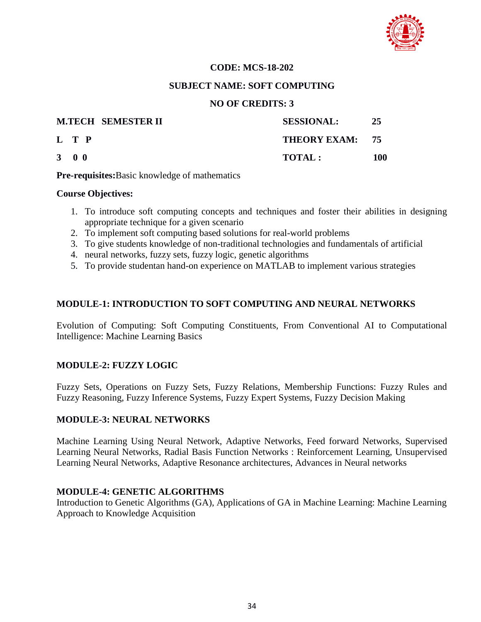

# **CODE: MCS-18-202**

#### **SUBJECT NAME: SOFT COMPUTING**

# **NO OF CREDITS: 3**

|                     | <b>M.TECH SEMESTER II</b> | <b>SESSIONAL:</b> | 25  |
|---------------------|---------------------------|-------------------|-----|
| L T P               |                           | THEORY EXAM: 75   |     |
| $3 \quad 0 \quad 0$ |                           | TOTAL :           | 100 |

**Pre-requisites:**Basic knowledge of mathematics

# **Course Objectives:**

- 1. To introduce soft computing concepts and techniques and foster their abilities in designing appropriate technique for a given scenario
- 2. To implement soft computing based solutions for real-world problems
- 3. To give students knowledge of non-traditional technologies and fundamentals of artificial
- 4. neural networks, fuzzy sets, fuzzy logic, genetic algorithms
- 5. To provide studentan hand-on experience on MATLAB to implement various strategies

# **MODULE-1: INTRODUCTION TO SOFT COMPUTING AND NEURAL NETWORKS**

Evolution of Computing: Soft Computing Constituents, From Conventional AI to Computational Intelligence: Machine Learning Basics

# **MODULE-2: FUZZY LOGIC**

Fuzzy Sets, Operations on Fuzzy Sets, Fuzzy Relations, Membership Functions: Fuzzy Rules and Fuzzy Reasoning, Fuzzy Inference Systems, Fuzzy Expert Systems, Fuzzy Decision Making

# **MODULE-3: NEURAL NETWORKS**

Machine Learning Using Neural Network, Adaptive Networks, Feed forward Networks, Supervised Learning Neural Networks, Radial Basis Function Networks : Reinforcement Learning, Unsupervised Learning Neural Networks, Adaptive Resonance architectures, Advances in Neural networks

# **MODULE-4: GENETIC ALGORITHMS**

Introduction to Genetic Algorithms (GA), Applications of GA in Machine Learning: Machine Learning Approach to Knowledge Acquisition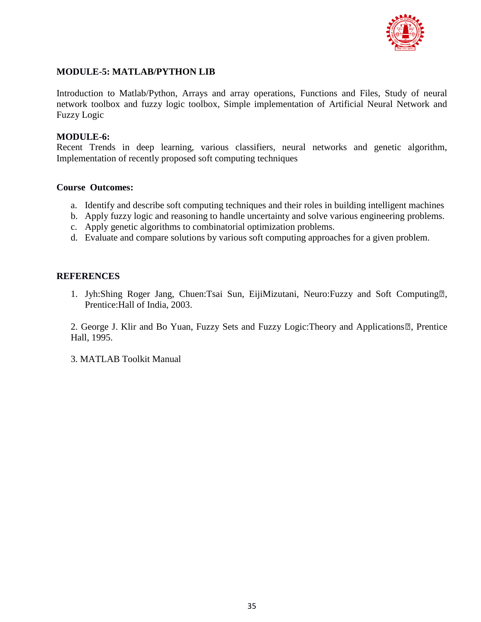

# **MODULE-5: MATLAB/PYTHON LIB**

Introduction to Matlab/Python, Arrays and array operations, Functions and Files, Study of neural network toolbox and fuzzy logic toolbox, Simple implementation of Artificial Neural Network and Fuzzy Logic

#### **MODULE-6:**

Recent Trends in deep learning, various classifiers, neural networks and genetic algorithm, Implementation of recently proposed soft computing techniques

#### **Course Outcomes:**

- a. Identify and describe soft computing techniques and their roles in building intelligent machines
- b. Apply fuzzy logic and reasoning to handle uncertainty and solve various engineering problems.
- c. Apply genetic algorithms to combinatorial optimization problems.
- d. Evaluate and compare solutions by various soft computing approaches for a given problem.

#### **REFERENCES**

1. Jyh:Shing Roger Jang, Chuen:Tsai Sun, EijiMizutani, Neuro:Fuzzy and Soft Computing<sup>[2]</sup>, Prentice:Hall of India, 2003.

2. George J. Klir and Bo Yuan, Fuzzy Sets and Fuzzy Logic: Theory and Applications<sup>[7]</sup>, Prentice Hall, 1995.

3. MATLAB Toolkit Manual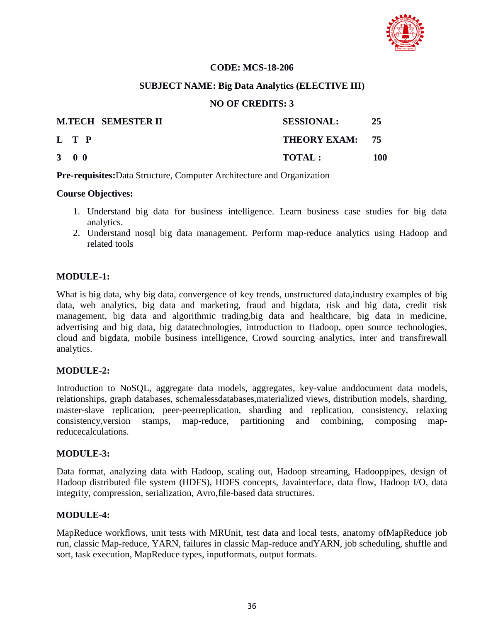

# **CODE: MCS-18-206**

# **SUBJECT NAME: Big Data Analytics (ELECTIVE III)**

# **NO OF CREDITS: 3**

|                     | <b>M.TECH SEMESTER II</b> | <b>SESSIONAL:</b> | 25  |
|---------------------|---------------------------|-------------------|-----|
| L T P               |                           | THEORY EXAM: 75   |     |
| $3 \quad 0 \quad 0$ |                           | <b>TOTAL:</b>     | 100 |

**Pre-requisites:**Data Structure, Computer Architecture and Organization

# **Course Objectives:**

- 1. Understand big data for business intelligence. Learn business case studies for big data analytics.
- 2. Understand nosql big data management. Perform map-reduce analytics using Hadoop and related tools

# **MODULE-1:**

What is big data, why big data, convergence of key trends, unstructured data,industry examples of big data, web analytics, big data and marketing, fraud and bigdata, risk and big data, credit risk management, big data and algorithmic trading,big data and healthcare, big data in medicine, advertising and big data, big datatechnologies, introduction to Hadoop, open source technologies, cloud and bigdata, mobile business intelligence, Crowd sourcing analytics, inter and transfirewall analytics.

# **MODULE-2:**

Introduction to NoSQL, aggregate data models, aggregates, key-value anddocument data models, relationships, graph databases, schemalessdatabases,materialized views, distribution models, sharding, master-slave replication, peer-peerreplication, sharding and replication, consistency, relaxing consistency,version stamps, map-reduce, partitioning and combining, composing mapreducecalculations.

# **MODULE-3:**

Data format, analyzing data with Hadoop, scaling out, Hadoop streaming, Hadooppipes, design of Hadoop distributed file system (HDFS), HDFS concepts, Javainterface, data flow, Hadoop I/O, data integrity, compression, serialization, Avro,file-based data structures.

# **MODULE-4:**

MapReduce workflows, unit tests with MRUnit, test data and local tests, anatomy ofMapReduce job run, classic Map-reduce, YARN, failures in classic Map-reduce andYARN, job scheduling, shuffle and sort, task execution, MapReduce types, inputformats, output formats.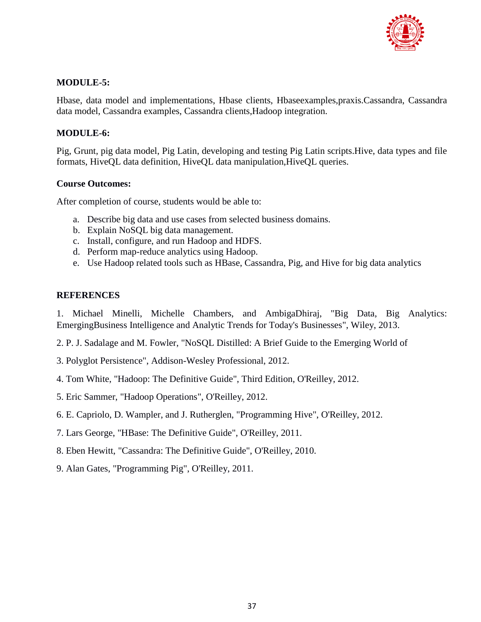

## **MODULE-5:**

Hbase, data model and implementations, Hbase clients, Hbaseexamples,praxis.Cassandra, Cassandra data model, Cassandra examples, Cassandra clients,Hadoop integration.

## **MODULE-6:**

Pig, Grunt, pig data model, Pig Latin, developing and testing Pig Latin scripts.Hive, data types and file formats, HiveQL data definition, HiveQL data manipulation,HiveQL queries.

## **Course Outcomes:**

After completion of course, students would be able to:

- a. Describe big data and use cases from selected business domains.
- b. Explain NoSQL big data management.
- c. Install, configure, and run Hadoop and HDFS.
- d. Perform map-reduce analytics using Hadoop.
- e. Use Hadoop related tools such as HBase, Cassandra, Pig, and Hive for big data analytics

## **REFERENCES**

1. Michael Minelli, Michelle Chambers, and AmbigaDhiraj, "Big Data, Big Analytics: EmergingBusiness Intelligence and Analytic Trends for Today's Businesses", Wiley, 2013.

2. P. J. Sadalage and M. Fowler, "NoSQL Distilled: A Brief Guide to the Emerging World of

- 3. Polyglot Persistence", Addison-Wesley Professional, 2012.
- 4. Tom White, "Hadoop: The Definitive Guide", Third Edition, O'Reilley, 2012.
- 5. Eric Sammer, "Hadoop Operations", O'Reilley, 2012.
- 6. E. Capriolo, D. Wampler, and J. Rutherglen, "Programming Hive", O'Reilley, 2012.
- 7. Lars George, "HBase: The Definitive Guide", O'Reilley, 2011.
- 8. Eben Hewitt, "Cassandra: The Definitive Guide", O'Reilley, 2010.
- 9. Alan Gates, "Programming Pig", O'Reilley, 2011.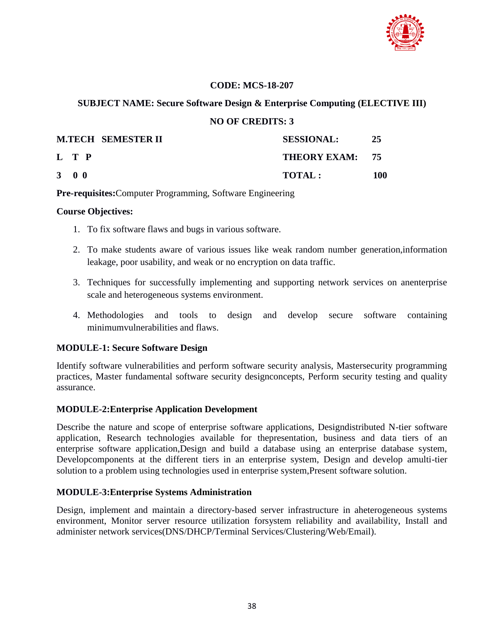

## **CODE: MCS-18-207**

## **SUBJECT NAME: Secure Software Design & Enterprise Computing (ELECTIVE III)**

## **NO OF CREDITS: 3**

|                     | <b>M.TECH SEMESTER II</b> | <b>SESSIONAL:</b> | 25  |
|---------------------|---------------------------|-------------------|-----|
| L T P               |                           | THEORY EXAM: 75   |     |
| $3 \quad 0 \quad 0$ |                           | <b>TOTAL:</b>     | 100 |

## **Pre-requisites:**Computer Programming, Software Engineering

#### **Course Objectives:**

- 1. To fix software flaws and bugs in various software.
- 2. To make students aware of various issues like weak random number generation,information leakage, poor usability, and weak or no encryption on data traffic.
- 3. Techniques for successfully implementing and supporting network services on anenterprise scale and heterogeneous systems environment.
- 4. Methodologies and tools to design and develop secure software containing minimumvulnerabilities and flaws.

## **MODULE-1: Secure Software Design**

Identify software vulnerabilities and perform software security analysis, Mastersecurity programming practices, Master fundamental software security designconcepts, Perform security testing and quality assurance.

## **MODULE-2:Enterprise Application Development**

Describe the nature and scope of enterprise software applications, Designdistributed N-tier software application, Research technologies available for thepresentation, business and data tiers of an enterprise software application,Design and build a database using an enterprise database system, Developcomponents at the different tiers in an enterprise system, Design and develop amulti-tier solution to a problem using technologies used in enterprise system,Present software solution.

## **MODULE-3:Enterprise Systems Administration**

Design, implement and maintain a directory-based server infrastructure in aheterogeneous systems environment, Monitor server resource utilization forsystem reliability and availability, Install and administer network services(DNS/DHCP/Terminal Services/Clustering/Web/Email).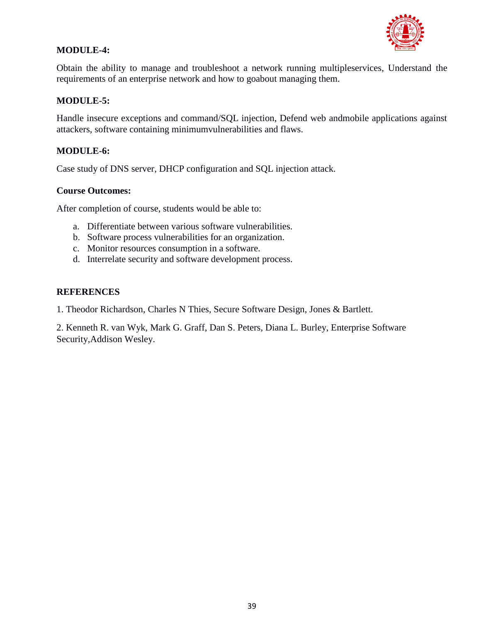

## **MODULE-4:**

Obtain the ability to manage and troubleshoot a network running multipleservices, Understand the requirements of an enterprise network and how to goabout managing them.

## **MODULE-5:**

Handle insecure exceptions and command/SQL injection, Defend web andmobile applications against attackers, software containing minimumvulnerabilities and flaws.

## **MODULE-6:**

Case study of DNS server, DHCP configuration and SQL injection attack.

## **Course Outcomes:**

After completion of course, students would be able to:

- a. Differentiate between various software vulnerabilities.
- b. Software process vulnerabilities for an organization.
- c. Monitor resources consumption in a software.
- d. Interrelate security and software development process.

## **REFERENCES**

1. Theodor Richardson, Charles N Thies, Secure Software Design, Jones & Bartlett.

2. Kenneth R. van Wyk, Mark G. Graff, Dan S. Peters, Diana L. Burley, Enterprise Software Security,Addison Wesley.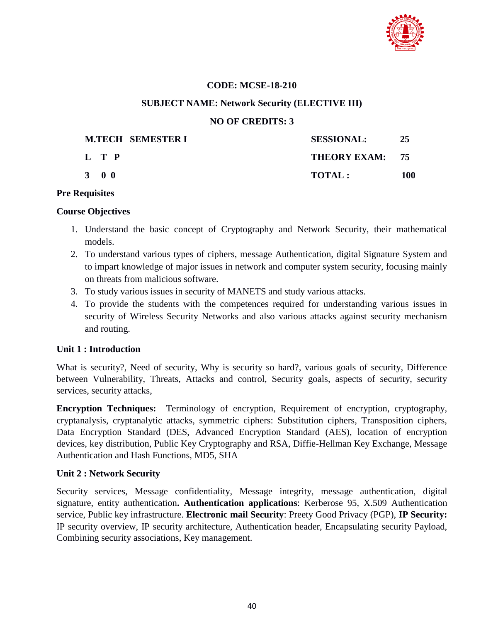

## **CODE: MCSE-18-210**

### **SUBJECT NAME: Network Security (ELECTIVE III)**

#### **NO OF CREDITS: 3**

| <b>M.TECH SEMESTER I</b> | <b>SESSIONAL:</b> | 25  |
|--------------------------|-------------------|-----|
| L T P                    | THEORY EXAM: 75   |     |
| 3 0 0                    | TOTAL:            | 100 |

#### **Pre Requisites**

#### **Course Objectives**

- 1. Understand the basic concept of Cryptography and Network Security, their mathematical models.
- 2. To understand various types of ciphers, message Authentication, digital Signature System and to impart knowledge of major issues in network and computer system security, focusing mainly on threats from malicious software.
- 3. To study various issues in security of MANETS and study various attacks.
- 4. To provide the students with the competences required for understanding various issues in security of Wireless Security Networks and also various attacks against security mechanism and routing.

#### **Unit 1 : Introduction**

What is security?, Need of security, Why is security so hard?, various goals of security, Difference between Vulnerability, Threats, Attacks and control, Security goals, aspects of security, security services, security attacks,

**Encryption Techniques:** Terminology of encryption, Requirement of encryption, cryptography, cryptanalysis, cryptanalytic attacks, symmetric ciphers: Substitution ciphers, Transposition ciphers, Data Encryption Standard (DES, Advanced Encryption Standard (AES), location of encryption devices, key distribution, Public Key Cryptography and RSA, Diffie-Hellman Key Exchange, Message Authentication and Hash Functions, MD5, SHA

#### **Unit 2 : Network Security**

Security services, Message confidentiality, Message integrity, message authentication, digital signature, entity authentication**. Authentication applications**: Kerberose 95, X.509 Authentication service, Public key infrastructure. **Electronic mail Security**: Preety Good Privacy (PGP), **IP Security:** IP security overview, IP security architecture, Authentication header, Encapsulating security Payload, Combining security associations, Key management.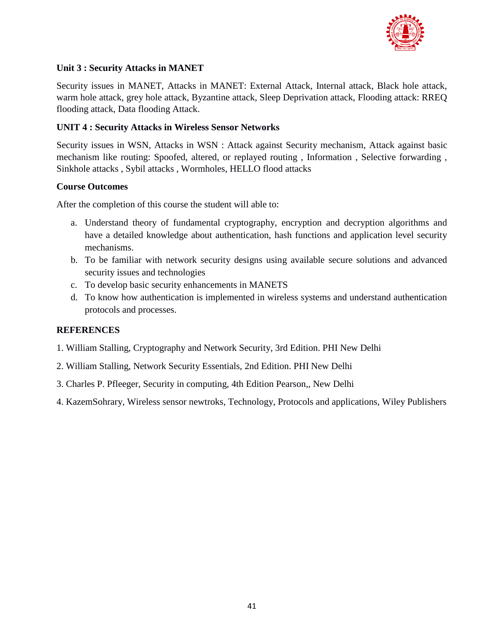

## **Unit 3 : Security Attacks in MANET**

Security issues in MANET, Attacks in MANET: External Attack, Internal attack, Black hole attack, warm hole attack, grey hole attack, Byzantine attack, Sleep Deprivation attack, Flooding attack: RREQ flooding attack, Data flooding Attack.

## **UNIT 4 : Security Attacks in Wireless Sensor Networks**

Security issues in WSN, Attacks in WSN : Attack against Security mechanism, Attack against basic mechanism like routing: Spoofed, altered, or replayed routing , Information , Selective forwarding , Sinkhole attacks , Sybil attacks , Wormholes, HELLO flood attacks

## **Course Outcomes**

After the completion of this course the student will able to:

- a. Understand theory of fundamental cryptography, encryption and decryption algorithms and have a detailed knowledge about authentication, hash functions and application level security mechanisms.
- b. To be familiar with network security designs using available secure solutions and advanced security issues and technologies
- c. To develop basic security enhancements in MANETS
- d. To know how authentication is implemented in wireless systems and understand authentication protocols and processes.

- 1. William Stalling, Cryptography and Network Security, 3rd Edition. PHI New Delhi
- 2. William Stalling, Network Security Essentials, 2nd Edition. PHI New Delhi
- 3. Charles P. Pfleeger, Security in computing, 4th Edition Pearson,, New Delhi
- 4. KazemSohrary, Wireless sensor newtroks, Technology, Protocols and applications, Wiley Publishers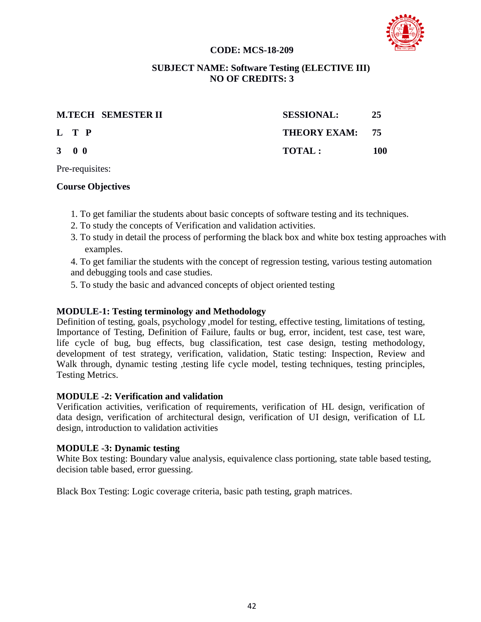## **CODE: MCS-18-209**



#### **SUBJECT NAME: Software Testing (ELECTIVE III) NO OF CREDITS: 3**

|                     | <b>M.TECH SEMESTER II</b><br><b>SESSIONAL:</b> | -25 |
|---------------------|------------------------------------------------|-----|
| L T P               | THEORY EXAM: 75                                |     |
| $3 \quad 0 \quad 0$ | TOTAI:                                         | 100 |

Pre-requisites:

## **Course Objectives**

- 1. To get familiar the students about basic concepts of software testing and its techniques.
- 2. To study the concepts of Verification and validation activities.
- 3. To study in detail the process of performing the black box and white box testing approaches with examples.

4. To get familiar the students with the concept of regression testing, various testing automation and debugging tools and case studies.

5. To study the basic and advanced concepts of object oriented testing

## **MODULE-1: Testing terminology and Methodology**

Definition of testing, goals, psychology ,model for testing, effective testing, limitations of testing, Importance of Testing, Definition of Failure, faults or bug, error, incident, test case, test ware, life cycle of bug, bug effects, bug classification, test case design, testing methodology, development of test strategy, verification, validation, Static testing: Inspection, Review and Walk through, dynamic testing, testing life cycle model, testing techniques, testing principles, Testing Metrics.

## **MODULE -2: Verification and validation**

Verification activities, verification of requirements, verification of HL design, verification of data design, verification of architectural design, verification of UI design, verification of LL design, introduction to validation activities

## **MODULE -3: Dynamic testing**

White Box testing: Boundary value analysis, equivalence class portioning, state table based testing, decision table based, error guessing.

Black Box Testing: Logic coverage criteria, basic path testing, graph matrices.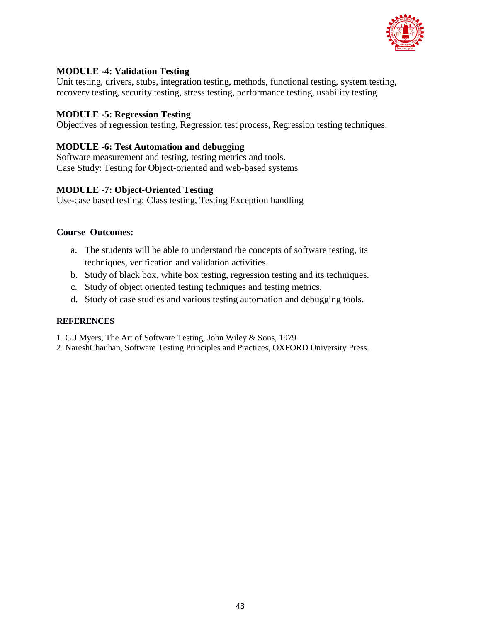

## **MODULE -4: Validation Testing**

Unit testing, drivers, stubs, integration testing, methods, functional testing, system testing, recovery testing, security testing, stress testing, performance testing, usability testing

## **MODULE -5: Regression Testing**

Objectives of regression testing, Regression test process, Regression testing techniques.

## **MODULE -6: Test Automation and debugging**

Software measurement and testing, testing metrics and tools. Case Study: Testing for Object-oriented and web-based systems

## **MODULE -7: Object-Oriented Testing**

Use-case based testing; Class testing, Testing Exception handling

## **Course Outcomes:**

- a. The students will be able to understand the concepts of software testing, its techniques, verification and validation activities.
- b. Study of black box, white box testing, regression testing and its techniques.
- c. Study of object oriented testing techniques and testing metrics.
- d. Study of case studies and various testing automation and debugging tools.

- 1. G.J Myers, The Art of Software Testing, John Wiley & Sons, 1979
- 2. NareshChauhan, Software Testing Principles and Practices, OXFORD University Press.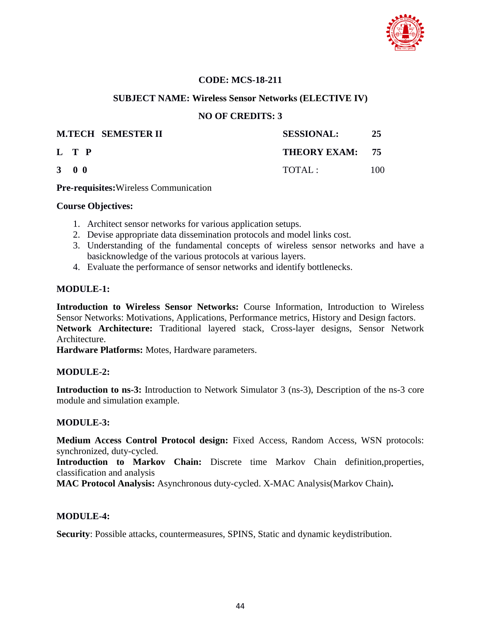

## **CODE: MCS-18-211**

### **SUBJECT NAME: Wireless Sensor Networks (ELECTIVE IV)**

### **NO OF CREDITS: 3**

|                     | <b>M.TECH SEMESTER II</b> | <b>SESSIONAL:</b> | 25  |
|---------------------|---------------------------|-------------------|-----|
| L T P               |                           | THEORY EXAM: 75   |     |
| $3 \quad 0 \quad 0$ |                           | TOTAL:            | 100 |

**Pre-requisites:**Wireless Communication

#### **Course Objectives:**

- 1. Architect sensor networks for various application setups.
- 2. Devise appropriate data dissemination protocols and model links cost.
- 3. Understanding of the fundamental concepts of wireless sensor networks and have a basicknowledge of the various protocols at various layers.
- 4. Evaluate the performance of sensor networks and identify bottlenecks.

### **MODULE-1:**

**Introduction to Wireless Sensor Networks:** Course Information, Introduction to Wireless Sensor Networks: Motivations, Applications, Performance metrics, History and Design factors. **Network Architecture:** Traditional layered stack, Cross-layer designs, Sensor Network Architecture.

**Hardware Platforms:** Motes, Hardware parameters.

## **MODULE-2:**

**Introduction to ns-3:** Introduction to Network Simulator 3 (ns-3), Description of the ns-3 core module and simulation example.

## **MODULE-3:**

**Medium Access Control Protocol design:** Fixed Access, Random Access, WSN protocols: synchronized, duty-cycled.

**Introduction to Markov Chain:** Discrete time Markov Chain definition,properties, classification and analysis

**MAC Protocol Analysis:** Asynchronous duty-cycled. X-MAC Analysis(Markov Chain)**.**

## **MODULE-4:**

**Security**: Possible attacks, countermeasures, SPINS, Static and dynamic keydistribution.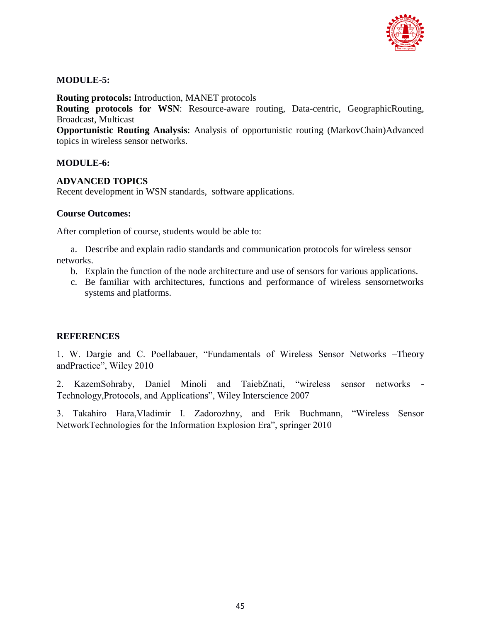

## **MODULE-5:**

**Routing protocols:** Introduction, MANET protocols

**Routing protocols for WSN:** Resource-aware routing, Data-centric, GeographicRouting, Broadcast, Multicast

**Opportunistic Routing Analysis**: Analysis of opportunistic routing (MarkovChain)Advanced topics in wireless sensor networks.

## **MODULE-6:**

## **ADVANCED TOPICS**

Recent development in WSN standards, software applications.

## **Course Outcomes:**

After completion of course, students would be able to:

a. Describe and explain radio standards and communication protocols for wireless sensor networks.

- b. Explain the function of the node architecture and use of sensors for various applications.
- c. Be familiar with architectures, functions and performance of wireless sensornetworks systems and platforms.

## **REFERENCES**

1. W. Dargie and C. Poellabauer, "Fundamentals of Wireless Sensor Networks –Theory andPractice", Wiley 2010

2. KazemSohraby, Daniel Minoli and TaiebZnati, "wireless sensor networks - Technology,Protocols, and Applications", Wiley Interscience 2007

3. Takahiro Hara,Vladimir I. Zadorozhny, and Erik Buchmann, "Wireless Sensor NetworkTechnologies for the Information Explosion Era", springer 2010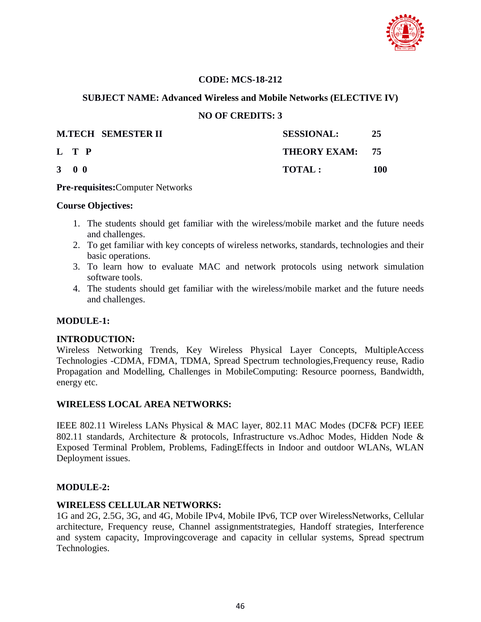

## **CODE: MCS-18-212**

## **SUBJECT NAME: Advanced Wireless and Mobile Networks (ELECTIVE IV)**

## **NO OF CREDITS: 3**

|                     | <b>M.TECH SEMESTER II</b> | <b>SESSIONAL:</b> | -25 |
|---------------------|---------------------------|-------------------|-----|
| L T P               |                           | THEORY EXAM: 75   |     |
| $3 \quad 0 \quad 0$ |                           | <b>TOTAL:</b>     | 100 |

#### **Pre-requisites:**Computer Networks

## **Course Objectives:**

- 1. The students should get familiar with the wireless/mobile market and the future needs and challenges.
- 2. To get familiar with key concepts of wireless networks, standards, technologies and their basic operations.
- 3. To learn how to evaluate MAC and network protocols using network simulation software tools.
- 4. The students should get familiar with the wireless/mobile market and the future needs and challenges.

## **MODULE-1:**

## **INTRODUCTION:**

Wireless Networking Trends, Key Wireless Physical Layer Concepts, MultipleAccess Technologies -CDMA, FDMA, TDMA, Spread Spectrum technologies,Frequency reuse, Radio Propagation and Modelling, Challenges in MobileComputing: Resource poorness, Bandwidth, energy etc.

## **WIRELESS LOCAL AREA NETWORKS:**

IEEE 802.11 Wireless LANs Physical & MAC layer, 802.11 MAC Modes (DCF& PCF) IEEE 802.11 standards, Architecture & protocols, Infrastructure vs.Adhoc Modes, Hidden Node & Exposed Terminal Problem, Problems, FadingEffects in Indoor and outdoor WLANs, WLAN Deployment issues.

## **MODULE-2:**

## **WIRELESS CELLULAR NETWORKS:**

1G and 2G, 2.5G, 3G, and 4G, Mobile IPv4, Mobile IPv6, TCP over WirelessNetworks, Cellular architecture, Frequency reuse, Channel assignmentstrategies, Handoff strategies, Interference and system capacity, Improvingcoverage and capacity in cellular systems, Spread spectrum Technologies.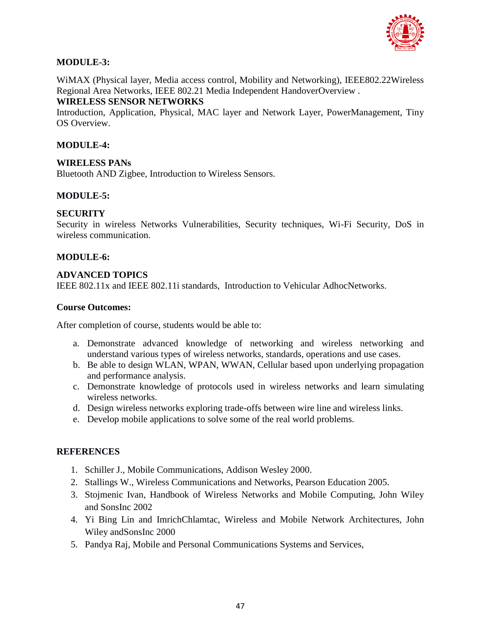

## **MODULE-3:**

WiMAX (Physical layer, Media access control, Mobility and Networking), IEEE802.22Wireless Regional Area Networks, IEEE 802.21 Media Independent HandoverOverview .

## **WIRELESS SENSOR NETWORKS**

Introduction, Application, Physical, MAC layer and Network Layer, PowerManagement, Tiny OS Overview.

## **MODULE-4:**

## **WIRELESS PANs**

Bluetooth AND Zigbee, Introduction to Wireless Sensors.

## **MODULE-5:**

## **SECURITY**

Security in wireless Networks Vulnerabilities, Security techniques, Wi-Fi Security, DoS in wireless communication.

## **MODULE-6:**

## **ADVANCED TOPICS**

IEEE 802.11x and IEEE 802.11i standards, Introduction to Vehicular AdhocNetworks.

## **Course Outcomes:**

After completion of course, students would be able to:

- a. Demonstrate advanced knowledge of networking and wireless networking and understand various types of wireless networks, standards, operations and use cases.
- b. Be able to design WLAN, WPAN, WWAN, Cellular based upon underlying propagation and performance analysis.
- c. Demonstrate knowledge of protocols used in wireless networks and learn simulating wireless networks.
- d. Design wireless networks exploring trade-offs between wire line and wireless links.
- e. Develop mobile applications to solve some of the real world problems.

- 1. Schiller J., Mobile Communications, Addison Wesley 2000.
- 2. Stallings W., Wireless Communications and Networks, Pearson Education 2005.
- 3. Stojmenic Ivan, Handbook of Wireless Networks and Mobile Computing, John Wiley and SonsInc 2002
- 4. Yi Bing Lin and ImrichChlamtac, Wireless and Mobile Network Architectures, John Wiley andSonsInc 2000
- 5. Pandya Raj, Mobile and Personal Communications Systems and Services,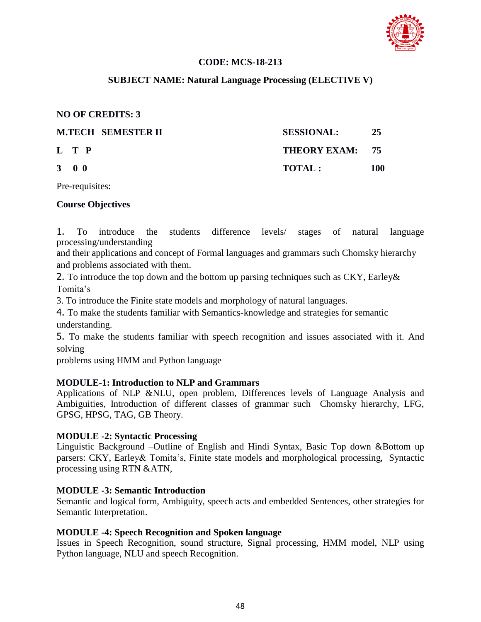

## **CODE: MCS-18-213**

## **SUBJECT NAME: Natural Language Processing (ELECTIVE V)**

## **NO OF CREDITS: 3**

| <b>M.TECH SEMESTER II</b> | <b>SESSIONAL:</b> | 25  |
|---------------------------|-------------------|-----|
| L T P                     | THEORY EXAM: 75   |     |
| $3 \quad 0 \quad 0$       | TOTAL:            | 100 |

Pre-requisites:

## **Course Objectives**

1. To introduce the students difference levels/ stages of natural language processing/understanding

and their applications and concept of Formal languages and grammars such Chomsky hierarchy and problems associated with them.

2. To introduce the top down and the bottom up parsing techniques such as CKY, Earley& Tomita's

3. To introduce the Finite state models and morphology of natural languages.

4. To make the students familiar with Semantics-knowledge and strategies for semantic understanding.

5. To make the students familiar with speech recognition and issues associated with it. And solving

problems using HMM and Python language

## **MODULE-1: Introduction to NLP and Grammars**

Applications of NLP &NLU, open problem, Differences levels of Language Analysis and Ambiguities, Introduction of different classes of grammar such Chomsky hierarchy, LFG, GPSG, HPSG, TAG, GB Theory.

## **MODULE -2: Syntactic Processing**

Linguistic Background –Outline of English and Hindi Syntax, Basic Top down &Bottom up parsers: CKY, Earley& Tomita's, Finite state models and morphological processing, Syntactic processing using RTN &ATN,

## **MODULE -3: Semantic Introduction**

Semantic and logical form, Ambiguity, speech acts and embedded Sentences, other strategies for Semantic Interpretation.

## **MODULE -4: Speech Recognition and Spoken language**

Issues in Speech Recognition, sound structure, Signal processing, HMM model, NLP using Python language, NLU and speech Recognition.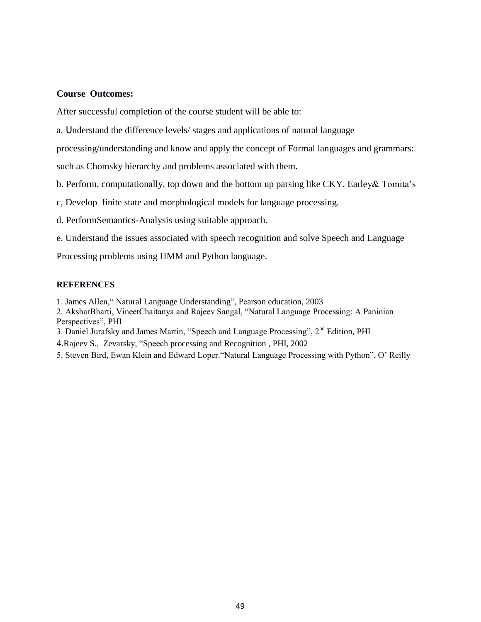#### **Course Outcomes:**

After successful completion of the course student will be able to:

a. Understand the difference levels/ stages and applications of natural language

processing/understanding and know and apply the concept of Formal languages and grammars:

such as Chomsky hierarchy and problems associated with them.

- b. Perform, computationally, top down and the bottom up parsing like CKY, Earley& Tomita"s
- c, Develop finite state and morphological models for language processing.
- d. PerformSemantics-Analysis using suitable approach.
- e. Understand the issues associated with speech recognition and solve Speech and Language

Processing problems using HMM and Python language.

- 1. James Allen," Natural Language Understanding", Pearson education, 2003
- 2. AksharBharti, VineetChaitanya and Rajeev Sangal, "Natural Language Processing: A Paninian Perspectives", PHI
- 3. Daniel Jurafsky and James Martin, "Speech and Language Processing", 2nd Edition, PHI
- 4.Rajeev S., Zevarsky, "Speech processing and Recognition , PHI, 2002
- 5. Steven Bird, Ewan Klein and Edward Loper."Natural Language Processing with Python", O" Reilly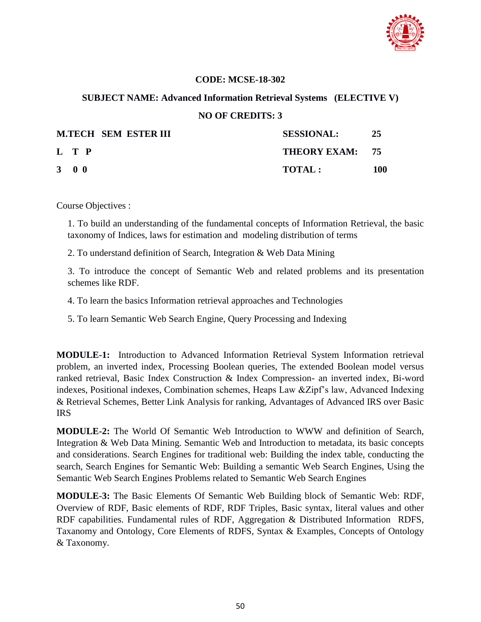

## **CODE: MCSE-18-302**

## **SUBJECT NAME: Advanced Information Retrieval Systems (ELECTIVE V)**

### **NO OF CREDITS: 3**

|                     | <b>M.TECH SEM ESTER III</b> | <b>SESSIONAL:</b> | -25 |
|---------------------|-----------------------------|-------------------|-----|
| L T P               |                             | THEORY EXAM: 75   |     |
| $3 \quad 0 \quad 0$ |                             | <b>TOTAL:</b>     | 100 |

Course Objectives :

1. To build an understanding of the fundamental concepts of Information Retrieval, the basic taxonomy of Indices, laws for estimation and modeling distribution of terms

2. To understand definition of Search, Integration & Web Data Mining

3. To introduce the concept of Semantic Web and related problems and its presentation schemes like RDF.

4. To learn the basics Information retrieval approaches and Technologies

5. To learn Semantic Web Search Engine, Query Processing and Indexing

**MODULE-1:** Introduction to Advanced Information Retrieval System Information retrieval problem, an inverted index, Processing Boolean queries, The extended Boolean model versus ranked retrieval, Basic Index Construction & Index Compression- an inverted index, Bi-word indexes, Positional indexes, Combination schemes, Heaps Law &Zipf"s law, Advanced Indexing & Retrieval Schemes, Better Link Analysis for ranking, Advantages of Advanced IRS over Basic IRS

**MODULE-2:** The World Of Semantic Web Introduction to WWW and definition of Search, Integration & Web Data Mining. Semantic Web and Introduction to metadata, its basic concepts and considerations. Search Engines for traditional web: Building the index table, conducting the search, Search Engines for Semantic Web: Building a semantic Web Search Engines, Using the Semantic Web Search Engines Problems related to Semantic Web Search Engines

**MODULE-3:** The Basic Elements Of Semantic Web Building block of Semantic Web: RDF, Overview of RDF, Basic elements of RDF, RDF Triples, Basic syntax, literal values and other RDF capabilities. Fundamental rules of RDF, Aggregation & Distributed Information RDFS, Taxanomy and Ontology, Core Elements of RDFS, Syntax & Examples, Concepts of Ontology & Taxonomy.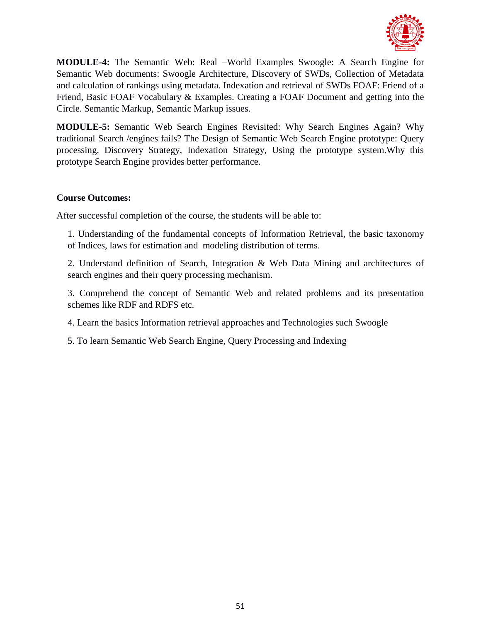

**MODULE-4:** The Semantic Web: Real –World Examples Swoogle: A Search Engine for Semantic Web documents: Swoogle Architecture, Discovery of SWDs, Collection of Metadata and calculation of rankings using metadata. Indexation and retrieval of SWDs FOAF: Friend of a Friend, Basic FOAF Vocabulary & Examples. Creating a FOAF Document and getting into the Circle. Semantic Markup, Semantic Markup issues.

**MODULE-5:** Semantic Web Search Engines Revisited: Why Search Engines Again? Why traditional Search /engines fails? The Design of Semantic Web Search Engine prototype: Query processing, Discovery Strategy, Indexation Strategy, Using the prototype system.Why this prototype Search Engine provides better performance.

## **Course Outcomes:**

After successful completion of the course, the students will be able to:

1. Understanding of the fundamental concepts of Information Retrieval, the basic taxonomy of Indices, laws for estimation and modeling distribution of terms.

2. Understand definition of Search, Integration & Web Data Mining and architectures of search engines and their query processing mechanism.

3. Comprehend the concept of Semantic Web and related problems and its presentation schemes like RDF and RDFS etc.

4. Learn the basics Information retrieval approaches and Technologies such Swoogle

5. To learn Semantic Web Search Engine, Query Processing and Indexing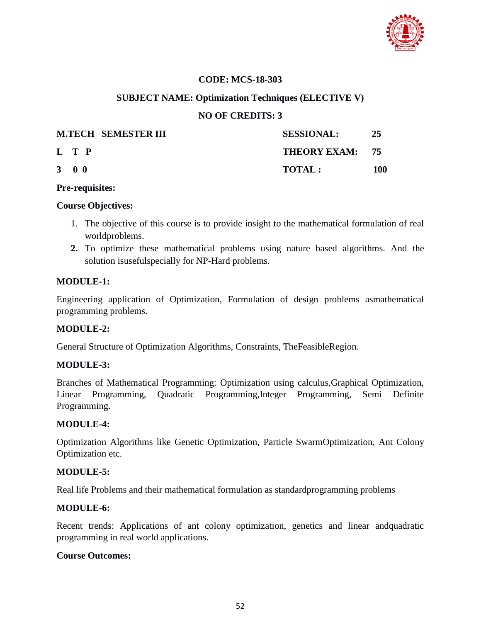

## **CODE: MCS-18-303**

## **SUBJECT NAME: Optimization Techniques (ELECTIVE V)**

## **NO OF CREDITS: 3**

|                     | <b>M.TECH SEMESTER III</b> | <b>SESSIONAL:</b> | 25  |
|---------------------|----------------------------|-------------------|-----|
| L T P               |                            | THEORY EXAM: 75   |     |
| $3 \quad 0 \quad 0$ |                            | TOTAL:            | 100 |

#### **Pre-requisites:**

#### **Course Objectives:**

- 1. The objective of this course is to provide insight to the mathematical formulation of real worldproblems.
- **2.** To optimize these mathematical problems using nature based algorithms. And the solution isusefulspecially for NP-Hard problems.

## **MODULE-1:**

Engineering application of Optimization, Formulation of design problems asmathematical programming problems.

## **MODULE-2:**

General Structure of Optimization Algorithms, Constraints, TheFeasibleRegion.

## **MODULE-3:**

Branches of Mathematical Programming: Optimization using calculus,Graphical Optimization, Linear Programming, Quadratic Programming,Integer Programming, Semi Definite Programming.

#### **MODULE-4:**

Optimization Algorithms like Genetic Optimization, Particle SwarmOptimization, Ant Colony Optimization etc.

## **MODULE-5:**

Real life Problems and their mathematical formulation as standardprogramming problems

## **MODULE-6:**

Recent trends: Applications of ant colony optimization, genetics and linear andquadratic programming in real world applications.

## **Course Outcomes:**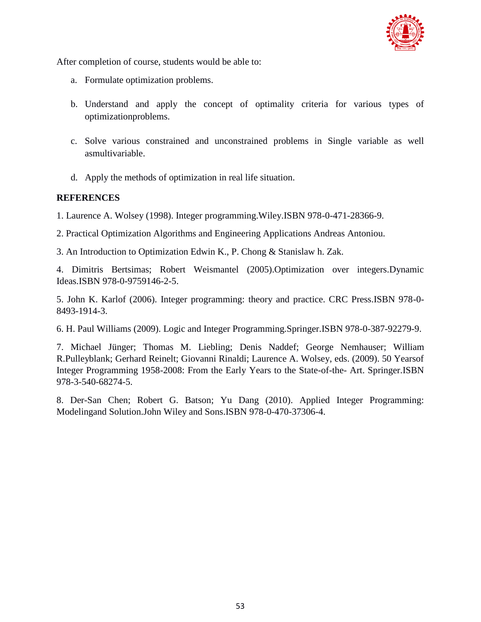

After completion of course, students would be able to:

- a. Formulate optimization problems.
- b. Understand and apply the concept of optimality criteria for various types of optimizationproblems.
- c. Solve various constrained and unconstrained problems in Single variable as well asmultivariable.
- d. Apply the methods of optimization in real life situation.

## **REFERENCES**

1. Laurence A. Wolsey (1998). Integer programming.Wiley.ISBN 978-0-471-28366-9.

2. Practical Optimization Algorithms and Engineering Applications Andreas Antoniou.

3. An Introduction to Optimization Edwin K., P. Chong & Stanislaw h. Zak.

4. Dimitris Bertsimas; Robert Weismantel (2005).Optimization over integers.Dynamic Ideas.ISBN 978-0-9759146-2-5.

5. John K. Karlof (2006). Integer programming: theory and practice. CRC Press.ISBN 978-0- 8493-1914-3.

6. H. Paul Williams (2009). Logic and Integer Programming.Springer.ISBN 978-0-387-92279-9.

7. Michael Jünger; Thomas M. Liebling; Denis Naddef; George Nemhauser; William R.Pulleyblank; Gerhard Reinelt; Giovanni Rinaldi; Laurence A. Wolsey, eds. (2009). 50 Yearsof Integer Programming 1958-2008: From the Early Years to the State-of-the- Art. Springer.ISBN 978-3-540-68274-5.

8. Der-San Chen; Robert G. Batson; Yu Dang (2010). Applied Integer Programming: Modelingand Solution.John Wiley and Sons.ISBN 978-0-470-37306-4.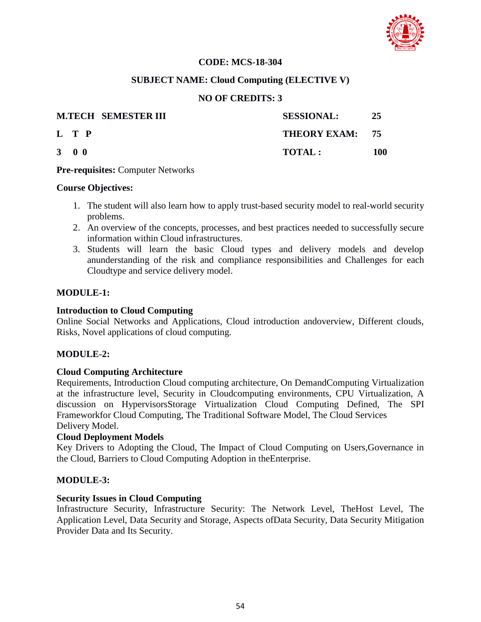

## **CODE: MCS-18-304**

## **SUBJECT NAME: Cloud Computing (ELECTIVE V)**

## **NO OF CREDITS: 3**

|                     | <b>M.TECH SEMESTER III</b><br><b>SESSIONAL:</b> | 25  |
|---------------------|-------------------------------------------------|-----|
| L T P               | THEORY EXAM: 75                                 |     |
| $3 \quad 0 \quad 0$ | <b>TOTAL:</b>                                   | 100 |

**Pre-requisites:** Computer Networks

#### **Course Objectives:**

- 1. The student will also learn how to apply trust-based security model to real-world security problems.
- 2. An overview of the concepts, processes, and best practices needed to successfully secure information within Cloud infrastructures.
- 3. Students will learn the basic Cloud types and delivery models and develop anunderstanding of the risk and compliance responsibilities and Challenges for each Cloudtype and service delivery model.

## **MODULE-1:**

### **Introduction to Cloud Computing**

Online Social Networks and Applications, Cloud introduction andoverview, Different clouds, Risks, Novel applications of cloud computing.

## **MODULE-2:**

## **Cloud Computing Architecture**

Requirements, Introduction Cloud computing architecture, On DemandComputing Virtualization at the infrastructure level, Security in Cloudcomputing environments, CPU Virtualization, A discussion on HypervisorsStorage Virtualization Cloud Computing Defined, The SPI Frameworkfor Cloud Computing, The Traditional Software Model, The Cloud Services Delivery Model.

## **Cloud Deployment Models**

Key Drivers to Adopting the Cloud, The Impact of Cloud Computing on Users,Governance in the Cloud, Barriers to Cloud Computing Adoption in theEnterprise.

## **MODULE-3:**

#### **Security Issues in Cloud Computing**

Infrastructure Security, Infrastructure Security: The Network Level, TheHost Level, The Application Level, Data Security and Storage, Aspects ofData Security, Data Security Mitigation Provider Data and Its Security.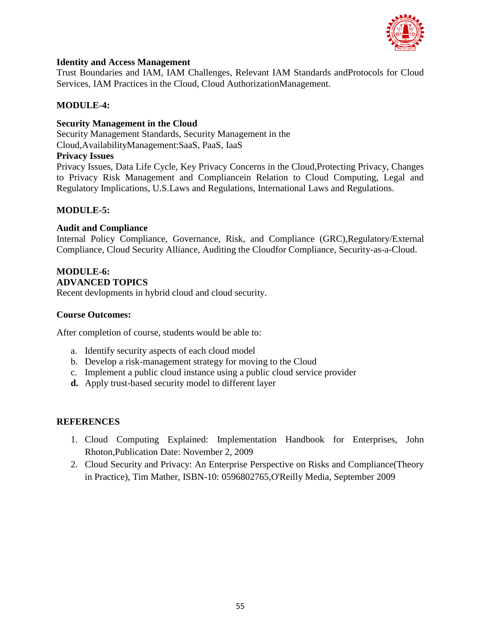

## **Identity and Access Management**

Trust Boundaries and IAM, IAM Challenges, Relevant IAM Standards andProtocols for Cloud Services, IAM Practices in the Cloud, Cloud AuthorizationManagement.

## **MODULE-4:**

## **Security Management in the Cloud**

Security Management Standards, Security Management in the Cloud,AvailabilityManagement:SaaS, PaaS, IaaS

## **Privacy Issues**

Privacy Issues, Data Life Cycle, Key Privacy Concerns in the Cloud,Protecting Privacy, Changes to Privacy Risk Management and Compliancein Relation to Cloud Computing, Legal and Regulatory Implications, U.S.Laws and Regulations, International Laws and Regulations.

## **MODULE-5:**

## **Audit and Compliance**

Internal Policy Compliance, Governance, Risk, and Compliance (GRC),Regulatory/External Compliance, Cloud Security Alliance, Auditing the Cloudfor Compliance, Security-as-a-Cloud.

# **MODULE-6:**

#### **ADVANCED TOPICS**

Recent devlopments in hybrid cloud and cloud security.

## **Course Outcomes:**

After completion of course, students would be able to:

- a. Identify security aspects of each cloud model
- b. Develop a risk-management strategy for moving to the Cloud
- c. Implement a public cloud instance using a public cloud service provider
- **d.** Apply trust-based security model to different layer

- 1. Cloud Computing Explained: Implementation Handbook for Enterprises, John Rhoton,Publication Date: November 2, 2009
- 2. Cloud Security and Privacy: An Enterprise Perspective on Risks and Compliance(Theory in Practice), Tim Mather, ISBN-10: 0596802765,O'Reilly Media, September 2009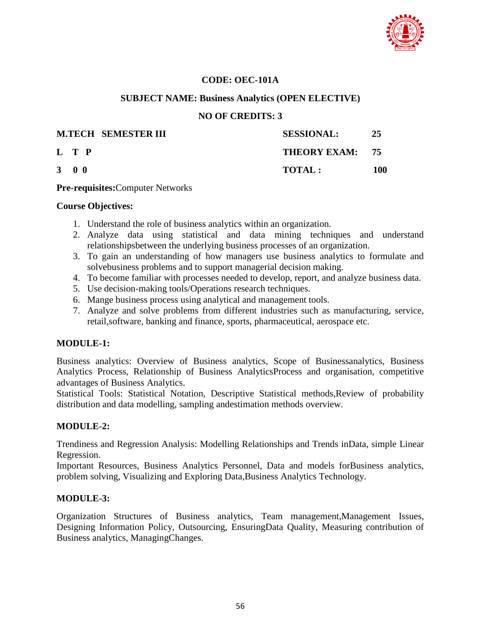

## **CODE: OEC-101A**

## **SUBJECT NAME: Business Analytics (OPEN ELECTIVE)**

## **NO OF CREDITS: 3**

|                     | <b>M.TECH SEMESTER III</b> | <b>SESSIONAL:</b> | 25  |
|---------------------|----------------------------|-------------------|-----|
| L T P               |                            | THEORY EXAM: 75   |     |
| $3 \quad 0 \quad 0$ |                            | <b>TOTAL:</b>     | 100 |

**Pre-requisites:**Computer Networks

#### **Course Objectives:**

- 1. Understand the role of business analytics within an organization.
- 2. Analyze data using statistical and data mining techniques and understand relationshipsbetween the underlying business processes of an organization.
- 3. To gain an understanding of how managers use business analytics to formulate and solvebusiness problems and to support managerial decision making.
- 4. To become familiar with processes needed to develop, report, and analyze business data.
- 5. Use decision-making tools/Operations research techniques.
- 6. Mange business process using analytical and management tools.
- 7. Analyze and solve problems from different industries such as manufacturing, service, retail,software, banking and finance, sports, pharmaceutical, aerospace etc.

## **MODULE-1:**

Business analytics: Overview of Business analytics, Scope of Businessanalytics, Business Analytics Process, Relationship of Business AnalyticsProcess and organisation, competitive advantages of Business Analytics.

Statistical Tools: Statistical Notation, Descriptive Statistical methods,Review of probability distribution and data modelling, sampling andestimation methods overview.

## **MODULE-2:**

Trendiness and Regression Analysis: Modelling Relationships and Trends inData, simple Linear Regression.

Important Resources, Business Analytics Personnel, Data and models forBusiness analytics, problem solving, Visualizing and Exploring Data,Business Analytics Technology.

## **MODULE-3:**

Organization Structures of Business analytics, Team management,Management Issues, Designing Information Policy, Outsourcing, EnsuringData Quality, Measuring contribution of Business analytics, ManagingChanges.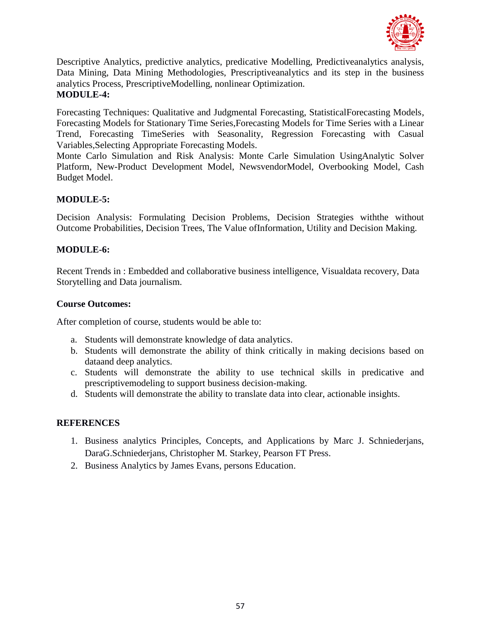

Descriptive Analytics, predictive analytics, predicative Modelling, Predictiveanalytics analysis, Data Mining, Data Mining Methodologies, Prescriptiveanalytics and its step in the business analytics Process, PrescriptiveModelling, nonlinear Optimization. **MODULE-4:**

Forecasting Techniques: Qualitative and Judgmental Forecasting, StatisticalForecasting Models, Forecasting Models for Stationary Time Series,Forecasting Models for Time Series with a Linear Trend, Forecasting TimeSeries with Seasonality, Regression Forecasting with Casual Variables,Selecting Appropriate Forecasting Models.

Monte Carlo Simulation and Risk Analysis: Monte Carle Simulation UsingAnalytic Solver Platform, New-Product Development Model, NewsvendorModel, Overbooking Model, Cash Budget Model.

## **MODULE-5:**

Decision Analysis: Formulating Decision Problems, Decision Strategies withthe without Outcome Probabilities, Decision Trees, The Value ofInformation, Utility and Decision Making.

## **MODULE-6:**

Recent Trends in : Embedded and collaborative business intelligence, Visualdata recovery, Data Storytelling and Data journalism.

## **Course Outcomes:**

After completion of course, students would be able to:

- a. Students will demonstrate knowledge of data analytics.
- b. Students will demonstrate the ability of think critically in making decisions based on dataand deep analytics.
- c. Students will demonstrate the ability to use technical skills in predicative and prescriptivemodeling to support business decision-making.
- d. Students will demonstrate the ability to translate data into clear, actionable insights.

- 1. Business analytics Principles, Concepts, and Applications by Marc J. Schniederjans, DaraG.Schniederjans, Christopher M. Starkey, Pearson FT Press.
- 2. Business Analytics by James Evans, persons Education.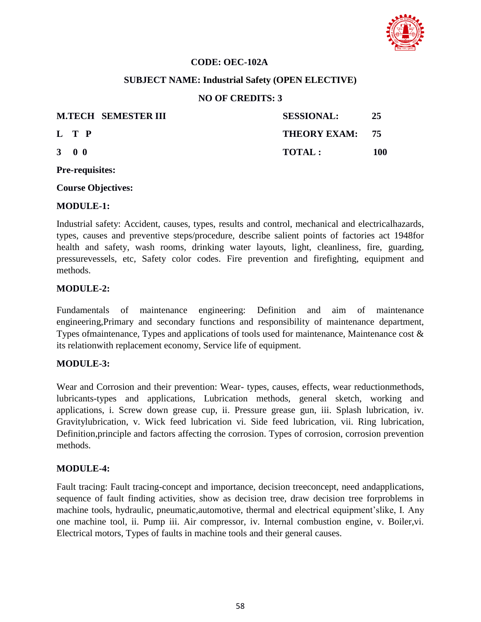

## **CODE: OEC-102A**

## **SUBJECT NAME: Industrial Safety (OPEN ELECTIVE)**

## **NO OF CREDITS: 3**

| <b>M.TECH SEMESTER III</b> | <b>SESSIONAL:</b> | -25 |
|----------------------------|-------------------|-----|
| L T P                      | THEORY EXAM: 75   |     |
| $3 \quad 0 \quad 0$        | TOTAL:            | 100 |

**Pre-requisites:**

**Course Objectives:**

#### **MODULE-1:**

Industrial safety: Accident, causes, types, results and control, mechanical and electricalhazards, types, causes and preventive steps/procedure, describe salient points of factories act 1948for health and safety, wash rooms, drinking water layouts, light, cleanliness, fire, guarding, pressurevessels, etc, Safety color codes. Fire prevention and firefighting, equipment and methods.

#### **MODULE-2:**

Fundamentals of maintenance engineering: Definition and aim of maintenance engineering,Primary and secondary functions and responsibility of maintenance department, Types ofmaintenance, Types and applications of tools used for maintenance, Maintenance cost & its relationwith replacement economy, Service life of equipment.

## **MODULE-3:**

Wear and Corrosion and their prevention: Wear- types, causes, effects, wear reductionmethods, lubricants-types and applications, Lubrication methods, general sketch, working and applications, i. Screw down grease cup, ii. Pressure grease gun, iii. Splash lubrication, iv. Gravitylubrication, v. Wick feed lubrication vi. Side feed lubrication, vii. Ring lubrication, Definition,principle and factors affecting the corrosion. Types of corrosion, corrosion prevention methods.

## **MODULE-4:**

Fault tracing: Fault tracing-concept and importance, decision treeconcept, need andapplications, sequence of fault finding activities, show as decision tree, draw decision tree forproblems in machine tools, hydraulic, pneumatic,automotive, thermal and electrical equipment"slike, I. Any one machine tool, ii. Pump iii. Air compressor, iv. Internal combustion engine, v. Boiler,vi. Electrical motors, Types of faults in machine tools and their general causes.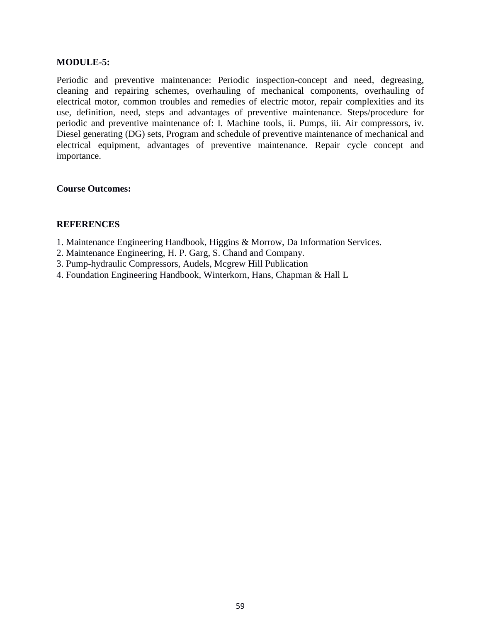### **MODULE-5:**

Periodic and preventive maintenance: Periodic inspection-concept and need, degreasing, cleaning and repairing schemes, overhauling of mechanical components, overhauling of electrical motor, common troubles and remedies of electric motor, repair complexities and its use, definition, need, steps and advantages of preventive maintenance. Steps/procedure for periodic and preventive maintenance of: I. Machine tools, ii. Pumps, iii. Air compressors, iv. Diesel generating (DG) sets, Program and schedule of preventive maintenance of mechanical and electrical equipment, advantages of preventive maintenance. Repair cycle concept and importance.

#### **Course Outcomes:**

- 1. Maintenance Engineering Handbook, Higgins & Morrow, Da Information Services.
- 2. Maintenance Engineering, H. P. Garg, S. Chand and Company.
- 3. Pump-hydraulic Compressors, Audels, Mcgrew Hill Publication
- 4. Foundation Engineering Handbook, Winterkorn, Hans, Chapman & Hall L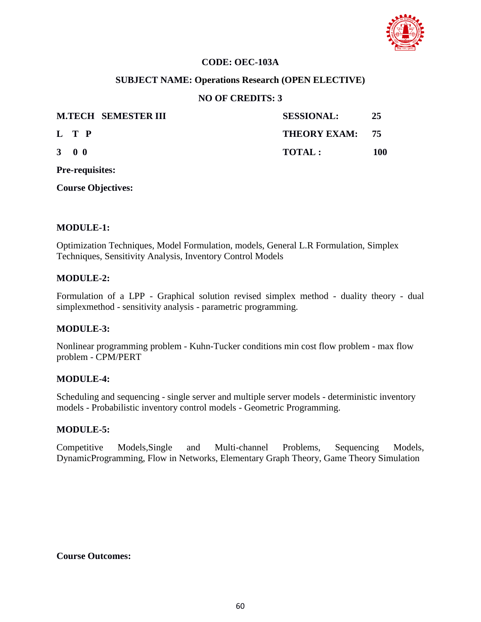

## **CODE: OEC-103A**

## **SUBJECT NAME: Operations Research (OPEN ELECTIVE)**

### **NO OF CREDITS: 3**

|                     |  | <b>M.TECH SEMESTER III</b> | <b>SESSIONAL:</b> | -25 |
|---------------------|--|----------------------------|-------------------|-----|
| L T P               |  |                            | THEORY EXAM: 75   |     |
| $3 \quad 0 \quad 0$ |  |                            | TOTAI:            | 100 |

**Pre-requisites:**

**Course Objectives:**

#### **MODULE-1:**

Optimization Techniques, Model Formulation, models, General L.R Formulation, Simplex Techniques, Sensitivity Analysis, Inventory Control Models

### **MODULE-2:**

Formulation of a LPP - Graphical solution revised simplex method - duality theory - dual simplexmethod - sensitivity analysis - parametric programming.

## **MODULE-3:**

Nonlinear programming problem - Kuhn-Tucker conditions min cost flow problem - max flow problem - CPM/PERT

#### **MODULE-4:**

Scheduling and sequencing - single server and multiple server models - deterministic inventory models - Probabilistic inventory control models - Geometric Programming.

#### **MODULE-5:**

Competitive Models,Single and Multi-channel Problems, Sequencing Models, DynamicProgramming, Flow in Networks, Elementary Graph Theory, Game Theory Simulation

**Course Outcomes:**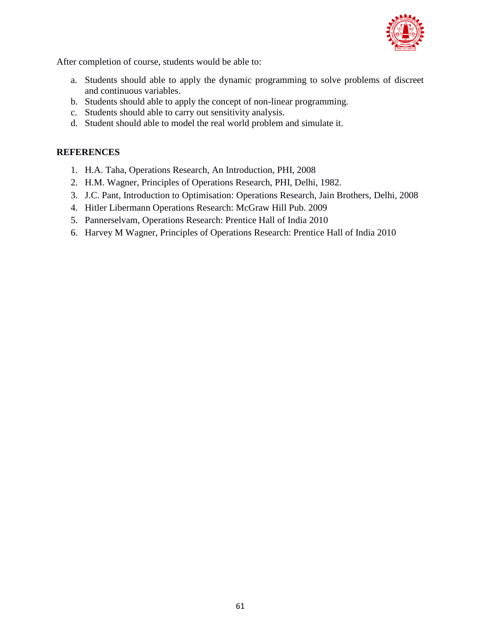

After completion of course, students would be able to:

- a. Students should able to apply the dynamic programming to solve problems of discreet and continuous variables.
- b. Students should able to apply the concept of non-linear programming.
- c. Students should able to carry out sensitivity analysis.
- d. Student should able to model the real world problem and simulate it.

- 1. H.A. Taha, Operations Research, An Introduction, PHI, 2008
- 2. H.M. Wagner, Principles of Operations Research, PHI, Delhi, 1982.
- 3. J.C. Pant, Introduction to Optimisation: Operations Research, Jain Brothers, Delhi, 2008
- 4. Hitler Libermann Operations Research: McGraw Hill Pub. 2009
- 5. Pannerselvam, Operations Research: Prentice Hall of India 2010
- 6. Harvey M Wagner, Principles of Operations Research: Prentice Hall of India 2010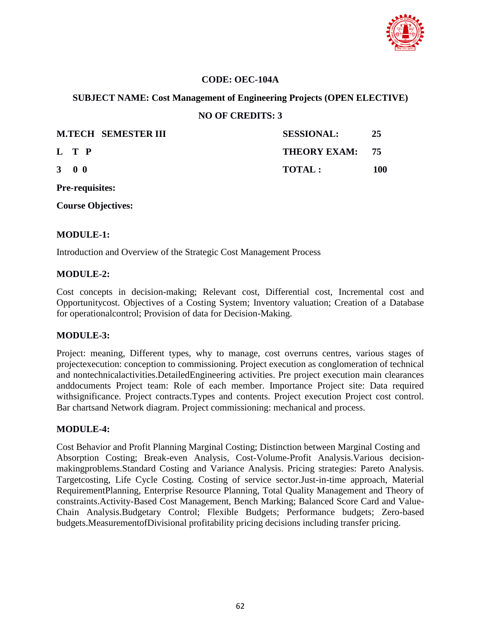

## **CODE: OEC-104A**

## **SUBJECT NAME: Cost Management of Engineering Projects (OPEN ELECTIVE)**

## **NO OF CREDITS: 3**

|                     | <b>M.TECH SEMESTER III</b> | <b>SESSIONAL:</b> | -25 |
|---------------------|----------------------------|-------------------|-----|
| L T P               |                            | THEORY EXAM: 75   |     |
| $3 \quad 0 \quad 0$ | <b>TOTAL:</b>              |                   | 100 |

**Pre-requisites:**

**Course Objectives:**

## **MODULE-1:**

Introduction and Overview of the Strategic Cost Management Process

#### **MODULE-2:**

Cost concepts in decision-making; Relevant cost, Differential cost, Incremental cost and Opportunitycost. Objectives of a Costing System; Inventory valuation; Creation of a Database for operationalcontrol; Provision of data for Decision-Making.

## **MODULE-3:**

Project: meaning, Different types, why to manage, cost overruns centres, various stages of projectexecution: conception to commissioning. Project execution as conglomeration of technical and nontechnicalactivities.DetailedEngineering activities. Pre project execution main clearances anddocuments Project team: Role of each member. Importance Project site: Data required withsignificance. Project contracts.Types and contents. Project execution Project cost control. Bar chartsand Network diagram. Project commissioning: mechanical and process.

## **MODULE-4:**

Cost Behavior and Profit Planning Marginal Costing; Distinction between Marginal Costing and Absorption Costing; Break-even Analysis, Cost-Volume-Profit Analysis.Various decisionmakingproblems.Standard Costing and Variance Analysis. Pricing strategies: Pareto Analysis. Targetcosting, Life Cycle Costing. Costing of service sector.Just-in-time approach, Material RequirementPlanning, Enterprise Resource Planning, Total Quality Management and Theory of constraints.Activity-Based Cost Management, Bench Marking; Balanced Score Card and Value-Chain Analysis.Budgetary Control; Flexible Budgets; Performance budgets; Zero-based budgets.MeasurementofDivisional profitability pricing decisions including transfer pricing.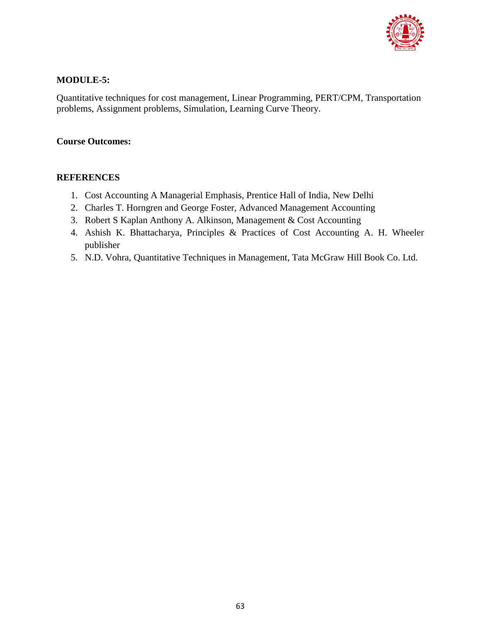

## **MODULE-5:**

Quantitative techniques for cost management, Linear Programming, PERT/CPM, Transportation problems, Assignment problems, Simulation, Learning Curve Theory.

## **Course Outcomes:**

- 1. Cost Accounting A Managerial Emphasis, Prentice Hall of India, New Delhi
- 2. Charles T. Horngren and George Foster, Advanced Management Accounting
- 3. Robert S Kaplan Anthony A. Alkinson, Management & Cost Accounting
- 4. Ashish K. Bhattacharya, Principles & Practices of Cost Accounting A. H. Wheeler publisher
- 5. N.D. Vohra, Quantitative Techniques in Management, Tata McGraw Hill Book Co. Ltd.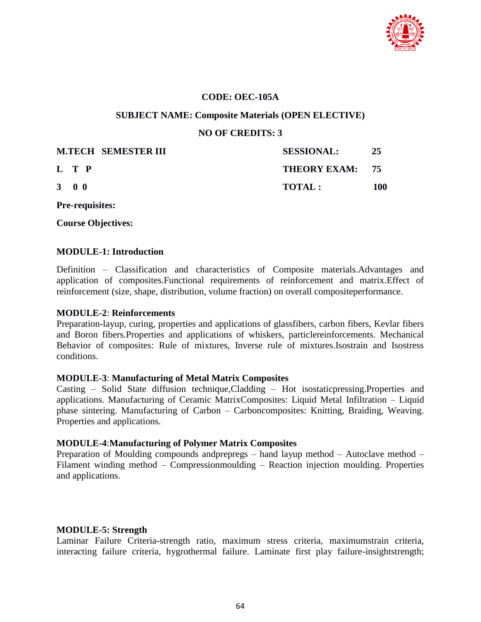

## **CODE: OEC-105A**

#### **SUBJECT NAME: Composite Materials (OPEN ELECTIVE)**

**NO OF CREDITS: 3**

| <b>M.TECH SEMESTER III</b> | <b>SESSIONAL:</b> | 25  |
|----------------------------|-------------------|-----|
| L T P                      | THEORY EXAM: 75   |     |
| $3 \quad 0 \quad 0$        | TOTAL:            | 100 |

**Pre-requisites:**

**Course Objectives:**

#### **MODULE-1: Introduction**

Definition – Classification and characteristics of Composite materials.Advantages and application of composites.Functional requirements of reinforcement and matrix.Effect of reinforcement (size, shape, distribution, volume fraction) on overall compositeperformance.

### **MODULE-2**: **Reinforcements**

Preparation-layup, curing, properties and applications of glassfibers, carbon fibers, Kevlar fibers and Boron fibers.Properties and applications of whiskers, particlereinforcements. Mechanical Behavior of composites: Rule of mixtures, Inverse rule of mixtures.Isostrain and Isostress conditions.

## **MODULE-3**: **Manufacturing of Metal Matrix Composites**

Casting – Solid State diffusion technique,Cladding – Hot isostaticpressing.Properties and applications. Manufacturing of Ceramic MatrixComposites: Liquid Metal Infiltration – Liquid phase sintering. Manufacturing of Carbon – Carboncomposites: Knitting, Braiding, Weaving. Properties and applications.

## **MODULE-4**:**Manufacturing of Polymer Matrix Composites**

Preparation of Moulding compounds andprepregs – hand layup method – Autoclave method – Filament winding method – Compressionmoulding – Reaction injection moulding. Properties and applications.

## **MODULE-5: Strength**

Laminar Failure Criteria-strength ratio, maximum stress criteria, maximumstrain criteria, interacting failure criteria, hygrothermal failure. Laminate first play failure-insightstrength;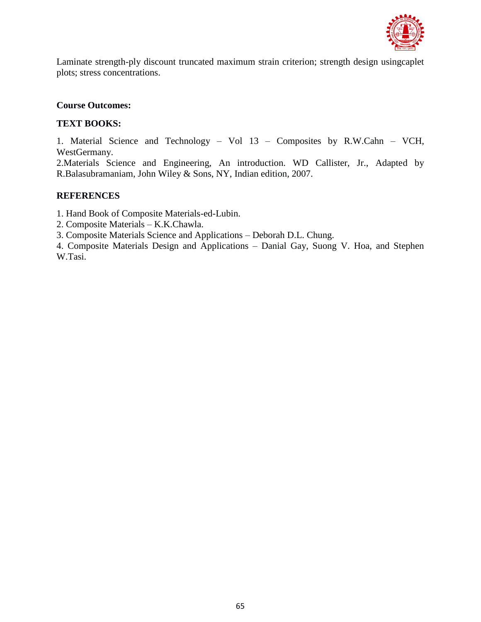

Laminate strength-ply discount truncated maximum strain criterion; strength design usingcaplet plots; stress concentrations.

## **Course Outcomes:**

## **TEXT BOOKS:**

1. Material Science and Technology – Vol 13 – Composites by R.W.Cahn – VCH, WestGermany.

2.Materials Science and Engineering, An introduction. WD Callister, Jr., Adapted by R.Balasubramaniam, John Wiley & Sons, NY, Indian edition, 2007.

#### **REFERENCES**

1. Hand Book of Composite Materials-ed-Lubin.

2. Composite Materials – K.K.Chawla.

3. Composite Materials Science and Applications – Deborah D.L. Chung.

4. Composite Materials Design and Applications – Danial Gay, Suong V. Hoa, and Stephen W.Tasi.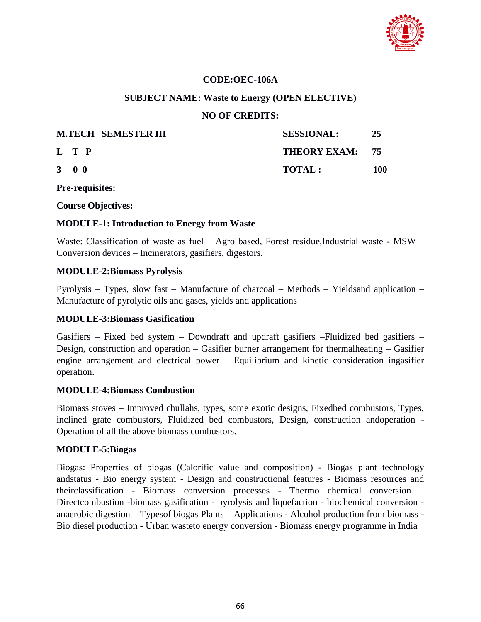

## **CODE:OEC-106A**

#### **SUBJECT NAME: Waste to Energy (OPEN ELECTIVE)**

#### **NO OF CREDITS:**

|                     | <b>M.TECH SEMESTER III</b> | <b>SESSIONAL:</b> | 25  |
|---------------------|----------------------------|-------------------|-----|
| L T P               |                            | THEORY EXAM: 75   |     |
| $3 \quad 0 \quad 0$ |                            | TOTAL:            | 100 |

#### **Pre-requisites:**

**Course Objectives:**

#### **MODULE-1: Introduction to Energy from Waste**

Waste: Classification of waste as fuel – Agro based, Forest residue, Industrial waste - MSW – Conversion devices – Incinerators, gasifiers, digestors.

#### **MODULE-2:Biomass Pyrolysis**

Pyrolysis – Types, slow fast – Manufacture of charcoal – Methods – Yieldsand application – Manufacture of pyrolytic oils and gases, yields and applications

#### **MODULE-3:Biomass Gasification**

Gasifiers – Fixed bed system – Downdraft and updraft gasifiers –Fluidized bed gasifiers – Design, construction and operation – Gasifier burner arrangement for thermalheating – Gasifier engine arrangement and electrical power – Equilibrium and kinetic consideration ingasifier operation.

#### **MODULE-4:Biomass Combustion**

Biomass stoves – Improved chullahs, types, some exotic designs, Fixedbed combustors, Types, inclined grate combustors, Fluidized bed combustors, Design, construction andoperation - Operation of all the above biomass combustors.

#### **MODULE-5:Biogas**

Biogas: Properties of biogas (Calorific value and composition) - Biogas plant technology andstatus - Bio energy system - Design and constructional features - Biomass resources and theirclassification - Biomass conversion processes - Thermo chemical conversion – Directcombustion -biomass gasification - pyrolysis and liquefaction - biochemical conversion anaerobic digestion – Typesof biogas Plants – Applications - Alcohol production from biomass - Bio diesel production - Urban wasteto energy conversion - Biomass energy programme in India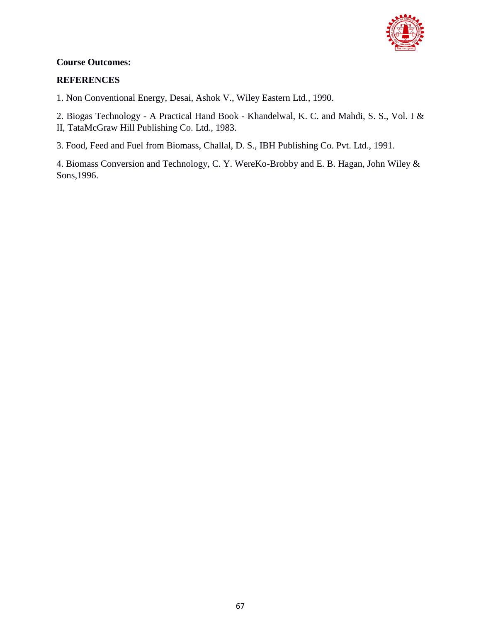

## **Course Outcomes:**

## **REFERENCES**

1. Non Conventional Energy, Desai, Ashok V., Wiley Eastern Ltd., 1990.

2. Biogas Technology - A Practical Hand Book - Khandelwal, K. C. and Mahdi, S. S., Vol. I & II, TataMcGraw Hill Publishing Co. Ltd., 1983.

3. Food, Feed and Fuel from Biomass, Challal, D. S., IBH Publishing Co. Pvt. Ltd., 1991.

4. Biomass Conversion and Technology, C. Y. WereKo-Brobby and E. B. Hagan, John Wiley & Sons,1996.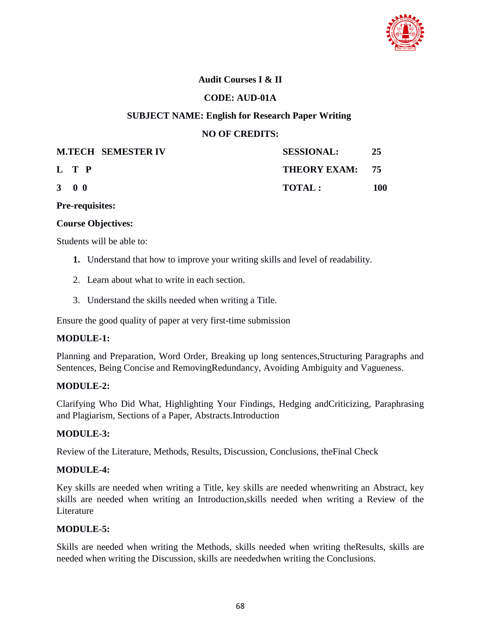

## **Audit Courses I & II**

## **CODE: AUD-01A**

## **SUBJECT NAME: English for Research Paper Writing**

## **NO OF CREDITS:**

|                     | <b>M.TECH SEMESTER IV</b> | <b>SESSIONAL:</b> | 25  |
|---------------------|---------------------------|-------------------|-----|
| L T P               |                           | THEORY EXAM: 75   |     |
| $3 \quad 0 \quad 0$ |                           | <b>TOTAL:</b>     | 100 |

**Pre-requisites:**

## **Course Objectives:**

Students will be able to:

- **1.** Understand that how to improve your writing skills and level of readability.
- 2. Learn about what to write in each section.
- 3. Understand the skills needed when writing a Title.

Ensure the good quality of paper at very first-time submission

## **MODULE-1:**

Planning and Preparation, Word Order, Breaking up long sentences,Structuring Paragraphs and Sentences, Being Concise and RemovingRedundancy, Avoiding Ambiguity and Vagueness.

## **MODULE-2:**

Clarifying Who Did What, Highlighting Your Findings, Hedging andCriticizing, Paraphrasing and Plagiarism, Sections of a Paper, Abstracts.Introduction

## **MODULE-3:**

Review of the Literature, Methods, Results, Discussion, Conclusions, theFinal Check

## **MODULE-4:**

Key skills are needed when writing a Title, key skills are needed whenwriting an Abstract, key skills are needed when writing an Introduction,skills needed when writing a Review of the Literature

## **MODULE-5:**

Skills are needed when writing the Methods, skills needed when writing theResults, skills are needed when writing the Discussion, skills are neededwhen writing the Conclusions.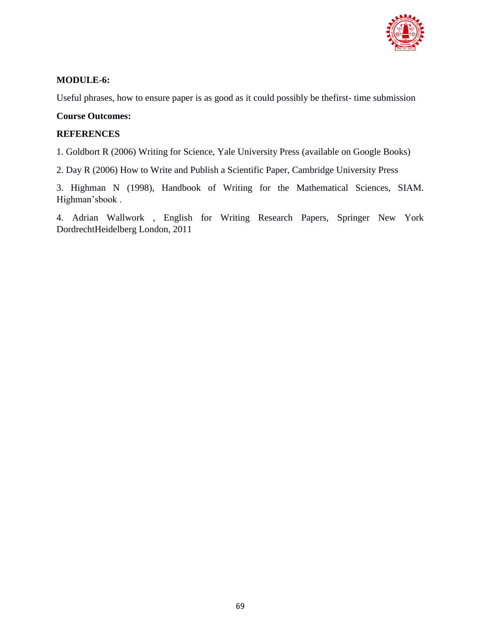

## **MODULE-6:**

Useful phrases, how to ensure paper is as good as it could possibly be thefirst- time submission

### **Course Outcomes:**

### **REFERENCES**

1. Goldbort R (2006) Writing for Science, Yale University Press (available on Google Books)

2. Day R (2006) How to Write and Publish a Scientific Paper, Cambridge University Press

3. Highman N (1998), Handbook of Writing for the Mathematical Sciences, SIAM. Highman"sbook .

4. Adrian Wallwork , English for Writing Research Papers, Springer New York DordrechtHeidelberg London, 2011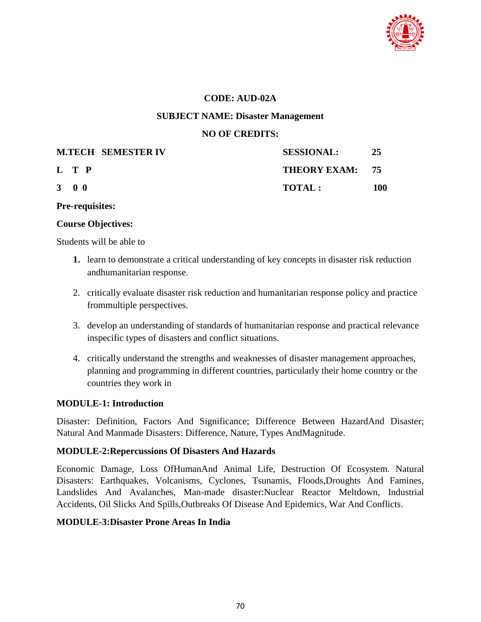

## **CODE: AUD-02A**

#### **SUBJECT NAME: Disaster Management**

### **NO OF CREDITS:**

|                     | <b>M.TECH SEMESTER IV</b> | <b>SESSIONAL:</b> | 25  |
|---------------------|---------------------------|-------------------|-----|
| L T P               |                           | THEORY EXAM: 75   |     |
| $3 \quad 0 \quad 0$ |                           | <b>TOTAL:</b>     | 100 |

**Pre-requisites:**

#### **Course Objectives:**

Students will be able to

- **1.** learn to demonstrate a critical understanding of key concepts in disaster risk reduction andhumanitarian response.
- 2. critically evaluate disaster risk reduction and humanitarian response policy and practice frommultiple perspectives.
- 3. develop an understanding of standards of humanitarian response and practical relevance inspecific types of disasters and conflict situations.
- 4. critically understand the strengths and weaknesses of disaster management approaches, planning and programming in different countries, particularly their home country or the countries they work in

## **MODULE-1: Introduction**

Disaster: Definition, Factors And Significance; Difference Between HazardAnd Disaster; Natural And Manmade Disasters: Difference, Nature, Types AndMagnitude.

## **MODULE-2:Repercussions Of Disasters And Hazards**

Economic Damage, Loss OfHumanAnd Animal Life, Destruction Of Ecosystem. Natural Disasters: Earthquakes, Volcanisms, Cyclones, Tsunamis, Floods,Droughts And Famines, Landslides And Avalanches, Man-made disaster:Nuclear Reactor Meltdown, Industrial Accidents, Oil Slicks And Spills,Outbreaks Of Disease And Epidemics, War And Conflicts.

## **MODULE-3:Disaster Prone Areas In India**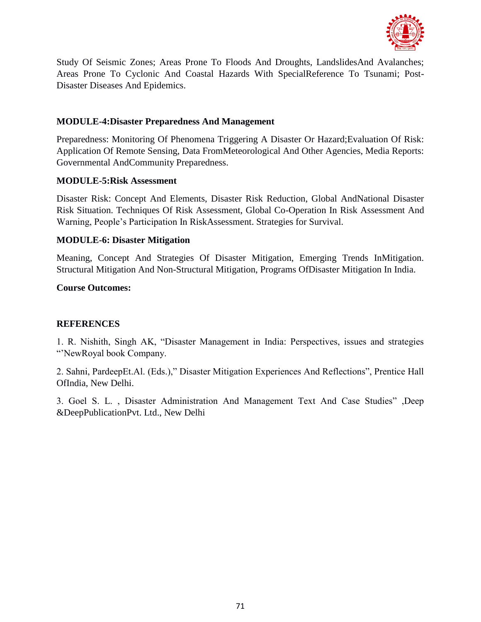

Study Of Seismic Zones; Areas Prone To Floods And Droughts, LandslidesAnd Avalanches; Areas Prone To Cyclonic And Coastal Hazards With SpecialReference To Tsunami; Post-Disaster Diseases And Epidemics.

## **MODULE-4:Disaster Preparedness And Management**

Preparedness: Monitoring Of Phenomena Triggering A Disaster Or Hazard;Evaluation Of Risk: Application Of Remote Sensing, Data FromMeteorological And Other Agencies, Media Reports: Governmental AndCommunity Preparedness.

## **MODULE-5:Risk Assessment**

Disaster Risk: Concept And Elements, Disaster Risk Reduction, Global AndNational Disaster Risk Situation. Techniques Of Risk Assessment, Global Co-Operation In Risk Assessment And Warning, People"s Participation In RiskAssessment. Strategies for Survival.

## **MODULE-6: Disaster Mitigation**

Meaning, Concept And Strategies Of Disaster Mitigation, Emerging Trends InMitigation. Structural Mitigation And Non-Structural Mitigation, Programs OfDisaster Mitigation In India.

## **Course Outcomes:**

## **REFERENCES**

1. R. Nishith, Singh AK, "Disaster Management in India: Perspectives, issues and strategies ""NewRoyal book Company.

2. Sahni, PardeepEt.Al. (Eds.)," Disaster Mitigation Experiences And Reflections", Prentice Hall OfIndia, New Delhi.

3. Goel S. L. , Disaster Administration And Management Text And Case Studies" ,Deep &DeepPublicationPvt. Ltd., New Delhi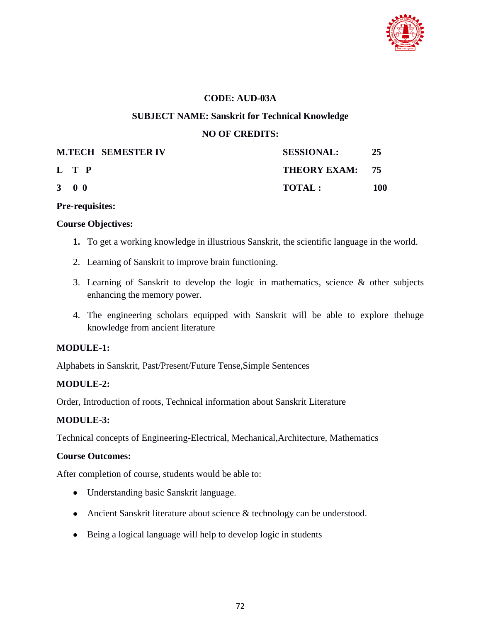

## **CODE: AUD-03A**

## **SUBJECT NAME: Sanskrit for Technical Knowledge**

## **NO OF CREDITS:**

| <b>M.TECH SEMESTER IV</b> | <b>SESSIONAL:</b> | 25  |
|---------------------------|-------------------|-----|
| L T P                     | THEORY EXAM: 75   |     |
| 3 0 0                     | <b>TOTAL:</b>     | 100 |

#### **Pre-requisites:**

#### **Course Objectives:**

- **1.** To get a working knowledge in illustrious Sanskrit, the scientific language in the world.
- 2. Learning of Sanskrit to improve brain functioning.
- 3. Learning of Sanskrit to develop the logic in mathematics, science & other subjects enhancing the memory power.
- 4. The engineering scholars equipped with Sanskrit will be able to explore thehuge knowledge from ancient literature

## **MODULE-1:**

Alphabets in Sanskrit, Past/Present/Future Tense,Simple Sentences

## **MODULE-2:**

Order, Introduction of roots, Technical information about Sanskrit Literature

## **MODULE-3:**

Technical concepts of Engineering-Electrical, Mechanical,Architecture, Mathematics

## **Course Outcomes:**

After completion of course, students would be able to:

- Understanding basic Sanskrit language.
- Ancient Sanskrit literature about science & technology can be understood.
- Being a logical language will help to develop logic in students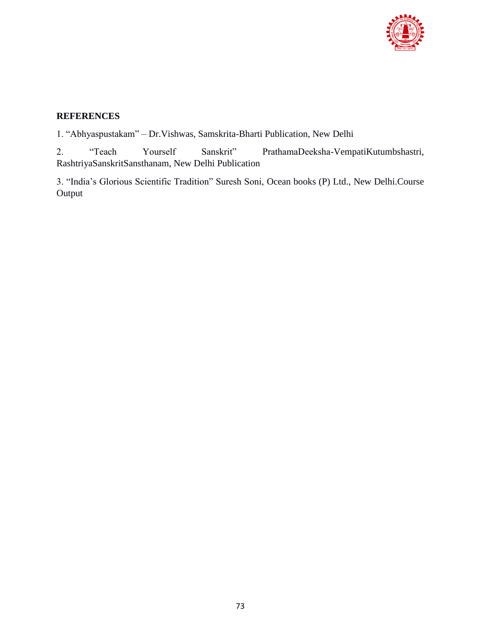

# **REFERENCES**

1. "Abhyaspustakam" – Dr.Vishwas, Samskrita-Bharti Publication, New Delhi

2. "Teach Yourself Sanskrit" PrathamaDeeksha-VempatiKutumbshastri, RashtriyaSanskritSansthanam, New Delhi Publication

3. "India"s Glorious Scientific Tradition" Suresh Soni, Ocean books (P) Ltd., New Delhi.Course Output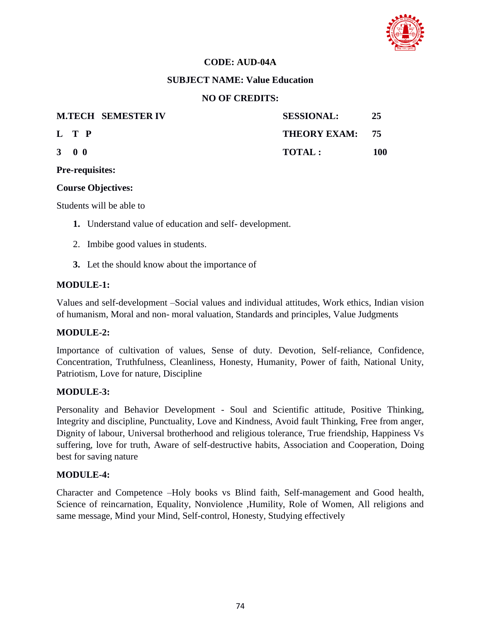

## **CODE: AUD-04A**

## **SUBJECT NAME: Value Education**

## **NO OF CREDITS:**

| <b>M.TECH SEMESTER IV</b> | <b>SESSIONAL:</b> | 25  |
|---------------------------|-------------------|-----|
| L T P                     | THEORY EXAM: 75   |     |
| $3 \quad 0 \quad 0$       | <b>TOTAL:</b>     | 100 |

#### **Pre-requisites:**

## **Course Objectives:**

Students will be able to

- **1.** Understand value of education and self- development.
- 2. Imbibe good values in students.
- **3.** Let the should know about the importance of

## **MODULE-1:**

Values and self-development –Social values and individual attitudes, Work ethics, Indian vision of humanism, Moral and non- moral valuation, Standards and principles, Value Judgments

# **MODULE-2:**

Importance of cultivation of values, Sense of duty. Devotion, Self-reliance, Confidence, Concentration, Truthfulness, Cleanliness, Honesty, Humanity, Power of faith, National Unity, Patriotism, Love for nature, Discipline

## **MODULE-3:**

Personality and Behavior Development - Soul and Scientific attitude, Positive Thinking, Integrity and discipline, Punctuality, Love and Kindness, Avoid fault Thinking, Free from anger, Dignity of labour, Universal brotherhood and religious tolerance, True friendship, Happiness Vs suffering, love for truth, Aware of self-destructive habits, Association and Cooperation, Doing best for saving nature

## **MODULE-4:**

Character and Competence –Holy books vs Blind faith, Self-management and Good health, Science of reincarnation, Equality, Nonviolence ,Humility, Role of Women, All religions and same message, Mind your Mind, Self-control, Honesty, Studying effectively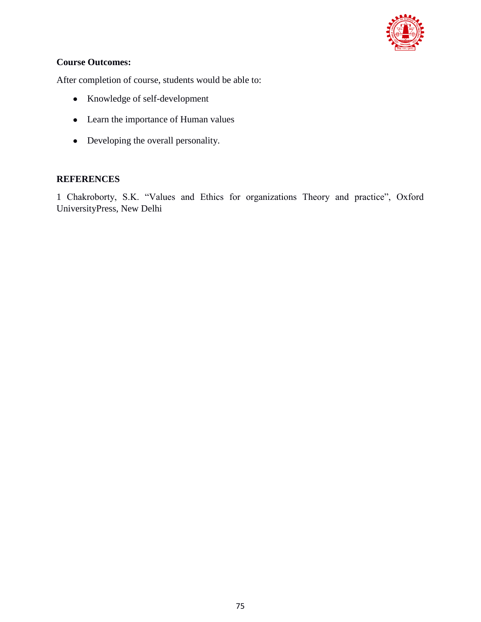

# **Course Outcomes:**

After completion of course, students would be able to:

- Knowledge of self-development
- Learn the importance of Human values
- Developing the overall personality.

# **REFERENCES**

1 Chakroborty, S.K. "Values and Ethics for organizations Theory and practice", Oxford UniversityPress, New Delhi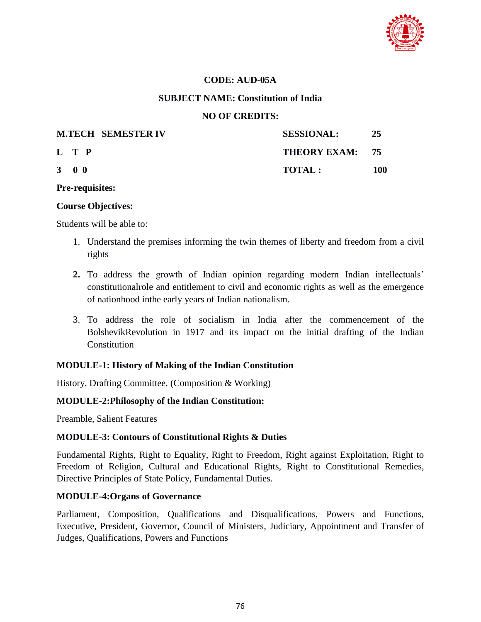

#### **CODE: AUD-05A**

#### **SUBJECT NAME: Constitution of India**

#### **NO OF CREDITS:**

| <b>M.TECH SEMESTER IV</b> | <b>SESSIONAL:</b> | 25  |
|---------------------------|-------------------|-----|
| L T P                     | THEORY EXAM: 75   |     |
| $3 \quad 0 \quad 0$       | TOTAL:            | 100 |

#### **Pre-requisites:**

#### **Course Objectives:**

Students will be able to:

- 1. Understand the premises informing the twin themes of liberty and freedom from a civil rights
- **2.** To address the growth of Indian opinion regarding modern Indian intellectuals" constitutionalrole and entitlement to civil and economic rights as well as the emergence of nationhood inthe early years of Indian nationalism.
- 3. To address the role of socialism in India after the commencement of the BolshevikRevolution in 1917 and its impact on the initial drafting of the Indian **Constitution**

## **MODULE-1: History of Making of the Indian Constitution**

History, Drafting Committee, (Composition & Working)

## **MODULE-2:Philosophy of the Indian Constitution:**

Preamble, Salient Features

## **MODULE-3: Contours of Constitutional Rights & Duties**

Fundamental Rights, Right to Equality, Right to Freedom, Right against Exploitation, Right to Freedom of Religion, Cultural and Educational Rights, Right to Constitutional Remedies, Directive Principles of State Policy, Fundamental Duties.

## **MODULE-4:Organs of Governance**

Parliament, Composition, Qualifications and Disqualifications, Powers and Functions, Executive, President, Governor, Council of Ministers, Judiciary, Appointment and Transfer of Judges, Qualifications, Powers and Functions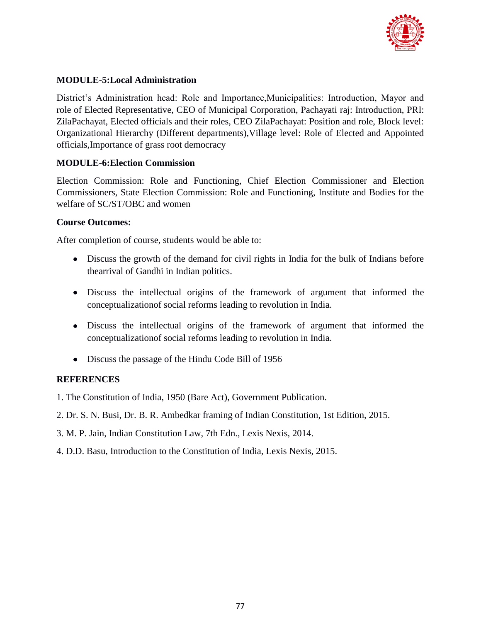

# **MODULE-5:Local Administration**

District"s Administration head: Role and Importance,Municipalities: Introduction, Mayor and role of Elected Representative, CEO of Municipal Corporation, Pachayati raj: Introduction, PRI: ZilaPachayat, Elected officials and their roles, CEO ZilaPachayat: Position and role, Block level: Organizational Hierarchy (Different departments),Village level: Role of Elected and Appointed officials,Importance of grass root democracy

## **MODULE-6:Election Commission**

Election Commission: Role and Functioning, Chief Election Commissioner and Election Commissioners, State Election Commission: Role and Functioning, Institute and Bodies for the welfare of SC/ST/OBC and women

## **Course Outcomes:**

After completion of course, students would be able to:

- Discuss the growth of the demand for civil rights in India for the bulk of Indians before thearrival of Gandhi in Indian politics.
- Discuss the intellectual origins of the framework of argument that informed the conceptualizationof social reforms leading to revolution in India.
- Discuss the intellectual origins of the framework of argument that informed the conceptualizationof social reforms leading to revolution in India.
- Discuss the passage of the Hindu Code Bill of 1956

# **REFERENCES**

- 1. The Constitution of India, 1950 (Bare Act), Government Publication.
- 2. Dr. S. N. Busi, Dr. B. R. Ambedkar framing of Indian Constitution, 1st Edition, 2015.
- 3. M. P. Jain, Indian Constitution Law, 7th Edn., Lexis Nexis, 2014.
- 4. D.D. Basu, Introduction to the Constitution of India, Lexis Nexis, 2015.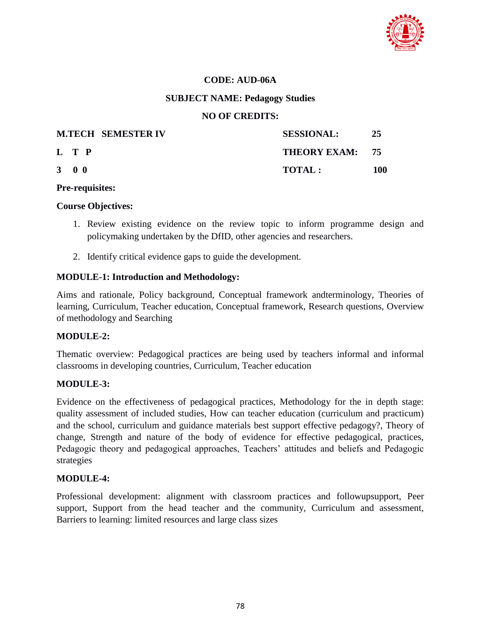

## **CODE: AUD-06A**

#### **SUBJECT NAME: Pedagogy Studies**

#### **NO OF CREDITS:**

|                     | <b>M.TECH SEMESTER IV</b> | <b>SESSIONAL:</b> | 25  |
|---------------------|---------------------------|-------------------|-----|
| L T P               |                           | THEORY EXAM: 75   |     |
| $3 \quad 0 \quad 0$ |                           | <b>TOTAL:</b>     | 100 |

#### **Pre-requisites:**

#### **Course Objectives:**

- 1. Review existing evidence on the review topic to inform programme design and policymaking undertaken by the DfID, other agencies and researchers.
- 2. Identify critical evidence gaps to guide the development.

#### **MODULE-1: Introduction and Methodology:**

Aims and rationale, Policy background, Conceptual framework andterminology, Theories of learning, Curriculum, Teacher education, Conceptual framework, Research questions, Overview of methodology and Searching

## **MODULE-2:**

Thematic overview: Pedagogical practices are being used by teachers informal and informal classrooms in developing countries, Curriculum, Teacher education

## **MODULE-3:**

Evidence on the effectiveness of pedagogical practices, Methodology for the in depth stage: quality assessment of included studies, How can teacher education (curriculum and practicum) and the school, curriculum and guidance materials best support effective pedagogy?, Theory of change, Strength and nature of the body of evidence for effective pedagogical, practices, Pedagogic theory and pedagogical approaches, Teachers' attitudes and beliefs and Pedagogic strategies

## **MODULE-4:**

Professional development: alignment with classroom practices and followupsupport, Peer support, Support from the head teacher and the community, Curriculum and assessment, Barriers to learning: limited resources and large class sizes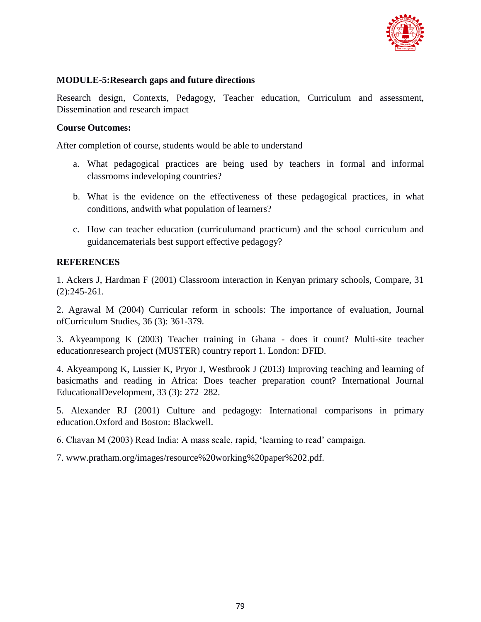

## **MODULE-5:Research gaps and future directions**

Research design, Contexts, Pedagogy, Teacher education, Curriculum and assessment, Dissemination and research impact

## **Course Outcomes:**

After completion of course, students would be able to understand

- a. What pedagogical practices are being used by teachers in formal and informal classrooms indeveloping countries?
- b. What is the evidence on the effectiveness of these pedagogical practices, in what conditions, andwith what population of learners?
- c. How can teacher education (curriculumand practicum) and the school curriculum and guidancematerials best support effective pedagogy?

## **REFERENCES**

1. Ackers J, Hardman F (2001) Classroom interaction in Kenyan primary schools, Compare, 31 (2):245-261.

2. Agrawal M (2004) Curricular reform in schools: The importance of evaluation, Journal ofCurriculum Studies, 36 (3): 361-379.

3. Akyeampong K (2003) Teacher training in Ghana - does it count? Multi-site teacher educationresearch project (MUSTER) country report 1. London: DFID.

4. Akyeampong K, Lussier K, Pryor J, Westbrook J (2013) Improving teaching and learning of basicmaths and reading in Africa: Does teacher preparation count? International Journal EducationalDevelopment, 33 (3): 272–282.

5. Alexander RJ (2001) Culture and pedagogy: International comparisons in primary education.Oxford and Boston: Blackwell.

6. Chavan M (2003) Read India: A mass scale, rapid, "learning to read" campaign.

7. www.pratham.org/images/resource%20working%20paper%202.pdf.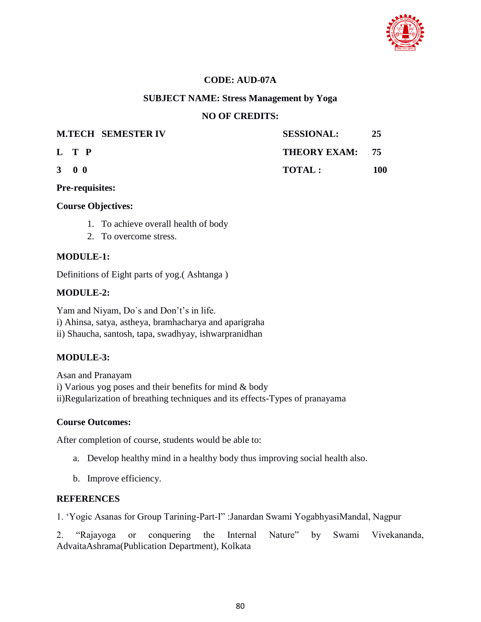

## **CODE: AUD-07A**

#### **SUBJECT NAME: Stress Management by Yoga**

#### **NO OF CREDITS:**

|                     | <b>M.TECH SEMESTER IV</b> | <b>SESSIONAL:</b> | 25  |
|---------------------|---------------------------|-------------------|-----|
| L T P               |                           | THEORY EXAM: 75   |     |
| $3 \quad 0 \quad 0$ |                           | <b>TOTAL:</b>     | 100 |

**Pre-requisites:**

#### **Course Objectives:**

- 1. To achieve overall health of body
- 2. To overcome stress.

## **MODULE-1:**

Definitions of Eight parts of yog.( Ashtanga )

## **MODULE-2:**

Yam and Niyam, Do's and Don't's in life. i) Ahinsa, satya, astheya, bramhacharya and aparigraha ii) Shaucha, santosh, tapa, swadhyay, ishwarpranidhan

## **MODULE-3:**

Asan and Pranayam i) Various yog poses and their benefits for mind & body ii)Regularization of breathing techniques and its effects-Types of pranayama

#### **Course Outcomes:**

After completion of course, students would be able to:

- a. Develop healthy mind in a healthy body thus improving social health also.
- b. Improve efficiency.

## **REFERENCES**

1. "Yogic Asanas for Group Tarining-Part-I" :Janardan Swami YogabhyasiMandal, Nagpur

2. "Rajayoga or conquering the Internal Nature" by Swami Vivekananda, AdvaitaAshrama(Publication Department), Kolkata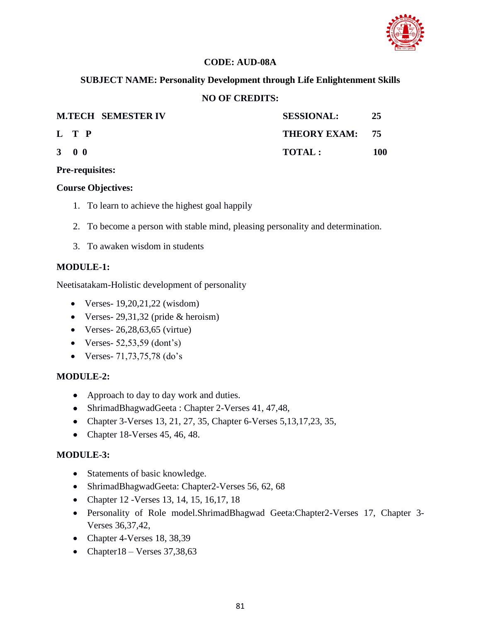

# **CODE: AUD-08A**

# **SUBJECT NAME: Personality Development through Life Enlightenment Skills**

## **NO OF CREDITS:**

|                     | <b>M.TECH SEMESTER IV</b> | <b>SESSIONAL:</b> | 25  |
|---------------------|---------------------------|-------------------|-----|
|                     | L T P                     | THEORY EXAM: 75   |     |
| $3 \quad 0 \quad 0$ |                           | TOTAL :           | 100 |

#### **Pre-requisites:**

## **Course Objectives:**

- 1. To learn to achieve the highest goal happily
- 2. To become a person with stable mind, pleasing personality and determination.
- 3. To awaken wisdom in students

## **MODULE-1:**

Neetisatakam-Holistic development of personality

- $\bullet$  Verses- 19,20,21,22 (wisdom)
- Verses-  $29,31,32$  (pride & heroism)
- Verses- 26,28,63,65 (virtue)
- Verses-  $52,53,59$  (dont's)
- Verses-  $71,73,75,78$  (do's

## **MODULE-2:**

- Approach to day to day work and duties.
- ShrimadBhagwadGeeta : Chapter 2-Verses 41, 47,48,
- Chapter 3-Verses 13, 21, 27, 35, Chapter 6-Verses 5, 13, 17, 23, 35,
- Chapter 18-Verses  $45, 46, 48$ .

## **MODULE-3:**

- Statements of basic knowledge.
- ShrimadBhagwadGeeta: Chapter2-Verses 56, 62, 68
- Chapter 12 Verses 13, 14, 15, 16, 17, 18
- Personality of Role model.ShrimadBhagwad Geeta:Chapter2-Verses 17, Chapter 3- Verses 36,37,42,
- Chapter 4-Verses 18, 38,39
- Chapter18 Verses  $37,38,63$